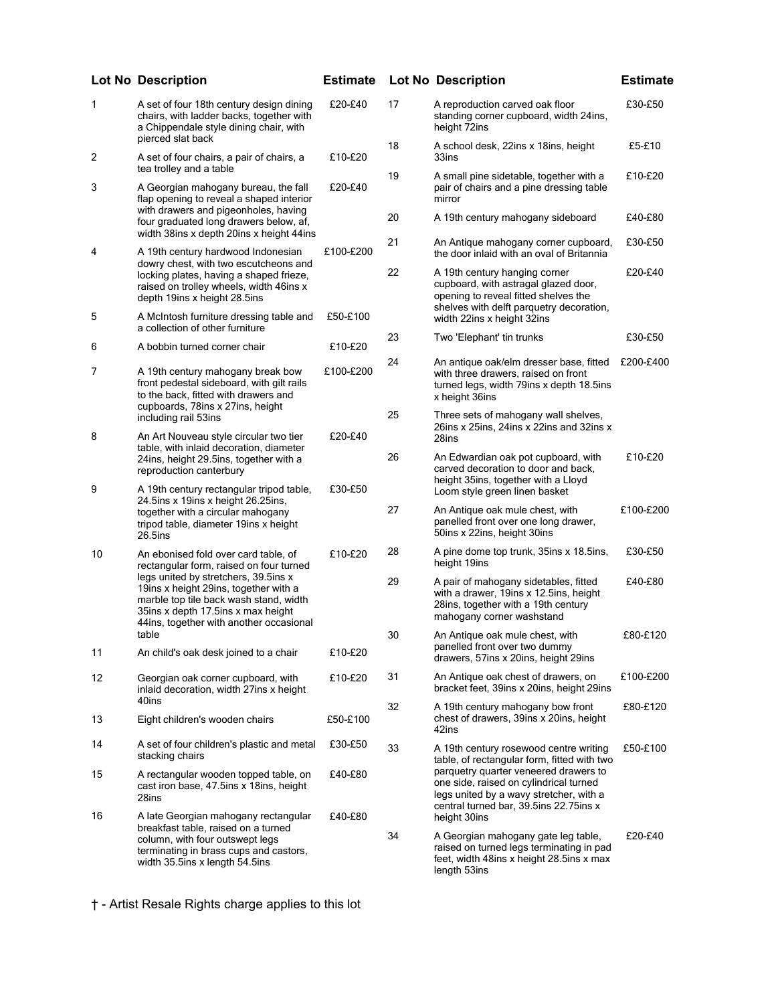|    | <b>Lot No Description</b>                                                                                                                                                                                                                                                                   | <b>Estimate</b> |    | <b>Lot No Description</b>                                                                                                                                            | <b>Estimate</b> |
|----|---------------------------------------------------------------------------------------------------------------------------------------------------------------------------------------------------------------------------------------------------------------------------------------------|-----------------|----|----------------------------------------------------------------------------------------------------------------------------------------------------------------------|-----------------|
| 1  | A set of four 18th century design dining<br>chairs, with ladder backs, together with<br>a Chippendale style dining chair, with<br>pierced slat back                                                                                                                                         | £20-£40         | 17 | A reproduction carved oak floor<br>standing corner cupboard, width 24ins,<br>height 72ins                                                                            | £30-£50         |
| 2  | A set of four chairs, a pair of chairs, a<br>tea trolley and a table                                                                                                                                                                                                                        | £10-£20         | 18 | A school desk, 22ins x 18ins, height<br>33ins                                                                                                                        | £5-£10          |
| 3  | A Georgian mahogany bureau, the fall<br>flap opening to reveal a shaped interior                                                                                                                                                                                                            | £20-£40         | 19 | A small pine sidetable, together with a<br>pair of chairs and a pine dressing table<br>mirror                                                                        | £10-£20         |
|    | with drawers and pigeonholes, having<br>four graduated long drawers below, af,<br>width 38ins x depth 20ins x height 44ins                                                                                                                                                                  |                 | 20 | A 19th century mahogany sideboard                                                                                                                                    | £40-£80         |
| 4  | A 19th century hardwood Indonesian<br>dowry chest, with two escutcheons and                                                                                                                                                                                                                 | £100-£200       | 21 | An Antique mahogany corner cupboard,<br>the door inlaid with an oval of Britannia                                                                                    | £30-£50         |
|    | locking plates, having a shaped frieze,<br>raised on trolley wheels, width 46ins x<br>depth 19ins x height 28.5ins                                                                                                                                                                          |                 | 22 | A 19th century hanging corner<br>cupboard, with astragal glazed door,<br>opening to reveal fitted shelves the<br>shelves with delft parquetry decoration,            | £20-£40         |
| 5  | A McIntosh furniture dressing table and<br>a collection of other furniture                                                                                                                                                                                                                  | £50-£100        | 23 | width 22ins x height 32ins<br>Two 'Elephant' tin trunks                                                                                                              | £30-£50         |
| 6  | A bobbin turned corner chair                                                                                                                                                                                                                                                                | £10-£20         |    |                                                                                                                                                                      |                 |
| 7  | A 19th century mahogany break bow<br>front pedestal sideboard, with gilt rails<br>to the back, fitted with drawers and<br>cupboards, 78ins x 27ins, height                                                                                                                                  | £100-£200       | 24 | An antique oak/elm dresser base, fitted<br>with three drawers, raised on front<br>turned legs, width 79ins x depth 18.5ins<br>x height 36ins                         | £200-£400       |
| 8  | including rail 53ins<br>An Art Nouveau style circular two tier                                                                                                                                                                                                                              | £20-£40         | 25 | Three sets of mahogany wall shelves,<br>26ins x 25ins, 24ins x 22ins and 32ins x<br>28ins                                                                            |                 |
|    | table, with inlaid decoration, diameter<br>24ins, height 29.5ins, together with a<br>reproduction canterbury                                                                                                                                                                                |                 | 26 | An Edwardian oak pot cupboard, with<br>carved decoration to door and back,<br>height 35ins, together with a Lloyd                                                    | £10-£20         |
| 9  | A 19th century rectangular tripod table,<br>24.5ins x 19ins x height 26.25ins,<br>together with a circular mahogany<br>tripod table, diameter 19ins x height<br>26.5ins                                                                                                                     | £30-£50         | 27 | Loom style green linen basket<br>An Antique oak mule chest, with<br>panelled front over one long drawer,<br>50ins x 22ins, height 30ins                              | £100-£200       |
| 10 | An ebonised fold over card table, of<br>rectangular form, raised on four turned<br>legs united by stretchers, 39.5ins x<br>19ins x height 29ins, together with a<br>marble top tile back wash stand, width<br>35ins x depth 17.5ins x max height<br>44ins, together with another occasional | £10-£20         | 28 | A pine dome top trunk, 35ins x 18.5ins,<br>height 19ins                                                                                                              | £30-£50         |
|    |                                                                                                                                                                                                                                                                                             |                 | 29 | A pair of mahogany sidetables, fitted<br>with a drawer, 19ins x 12.5ins, height<br>28ins, together with a 19th century<br>mahogany corner washstand                  | £40-£80         |
| 11 | table<br>An child's oak desk joined to a chair                                                                                                                                                                                                                                              | £10-£20         | 30 | An Antique oak mule chest, with<br>panelled front over two dummy<br>drawers, 57ins x 20ins, height 29ins                                                             | £80-£120        |
| 12 | Georgian oak corner cupboard, with<br>inlaid decoration, width 27ins x height                                                                                                                                                                                                               | £10-£20         | 31 | An Antique oak chest of drawers, on<br>bracket feet, 39 ins x 20 ins, height 29 ins                                                                                  | £100-£200       |
| 13 | 40ins<br>Eight children's wooden chairs                                                                                                                                                                                                                                                     | £50-£100        | 32 | A 19th century mahogany bow front<br>chest of drawers, 39ins x 20ins, height<br>42ins                                                                                | £80-£120        |
| 14 | A set of four children's plastic and metal<br>stacking chairs                                                                                                                                                                                                                               | £30-£50         | 33 | A 19th century rosewood centre writing<br>table, of rectangular form, fitted with two                                                                                | £50-£100        |
| 15 | A rectangular wooden topped table, on<br>cast iron base, 47.5ins x 18ins, height<br>28ins                                                                                                                                                                                                   | £40-£80         |    | parquetry quarter veneered drawers to<br>one side, raised on cylindrical turned<br>legs united by a wavy stretcher, with a<br>central turned bar, 39.5ins 22.75ins x |                 |
| 16 | A late Georgian mahogany rectangular                                                                                                                                                                                                                                                        | £40-£80         |    | height 30ins                                                                                                                                                         |                 |
|    | breakfast table, raised on a turned<br>column, with four outswept legs<br>terminating in brass cups and castors,<br>width 35.5ins x length 54.5ins                                                                                                                                          |                 | 34 | A Georgian mahogany gate leg table,<br>raised on turned legs terminating in pad<br>feet, width 48ins x height 28.5ins x max<br>length 53ins                          | £20-£40         |
|    |                                                                                                                                                                                                                                                                                             |                 |    |                                                                                                                                                                      |                 |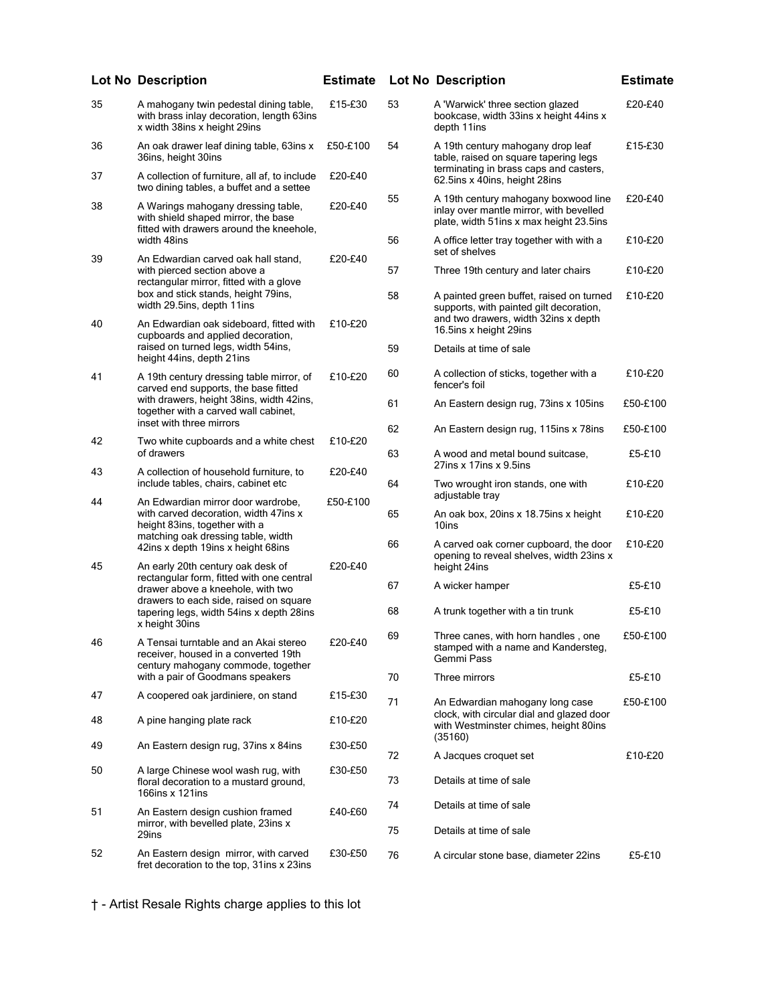|    | <b>Lot No Description</b>                                                                                                                                                              | <b>Estimate</b> |    | <b>Lot No Description</b>                                                                                                   | <b>Estimate</b> |
|----|----------------------------------------------------------------------------------------------------------------------------------------------------------------------------------------|-----------------|----|-----------------------------------------------------------------------------------------------------------------------------|-----------------|
| 35 | A mahogany twin pedestal dining table,<br>with brass inlay decoration, length 63ins<br>x width 38ins x height 29ins                                                                    | £15-£30         | 53 | A 'Warwick' three section glazed<br>bookcase, width 33ins x height 44ins x<br>depth 11ins                                   | £20-£40         |
| 36 | An oak drawer leaf dining table, 63ins x<br>36ins, height 30ins                                                                                                                        | £50-£100        | 54 | A 19th century mahogany drop leaf<br>table, raised on square tapering legs<br>terminating in brass caps and casters,        | £15-£30         |
| 37 | A collection of furniture, all af, to include<br>two dining tables, a buffet and a settee                                                                                              | £20-£40         |    | 62.5ins x 40ins, height 28ins                                                                                               |                 |
| 38 | A Warings mahogany dressing table,<br>with shield shaped mirror, the base<br>fitted with drawers around the kneehole,                                                                  | £20-£40         | 55 | A 19th century mahogany boxwood line<br>inlay over mantle mirror, with bevelled<br>plate, width 51ins x max height 23.5ins  | £20-£40         |
|    | width 48ins                                                                                                                                                                            |                 | 56 | A office letter tray together with with a<br>set of shelves                                                                 | £10-£20         |
| 39 | An Edwardian carved oak hall stand,<br>with pierced section above a<br>rectangular mirror, fitted with a glove                                                                         | £20-£40         | 57 | Three 19th century and later chairs                                                                                         | £10-£20         |
| 40 | box and stick stands, height 79ins,<br>width 29.5ins, depth 11ins                                                                                                                      | £10-£20         | 58 | A painted green buffet, raised on turned<br>supports, with painted gilt decoration,<br>and two drawers, width 32ins x depth | £10-£20         |
|    | An Edwardian oak sideboard, fitted with<br>cupboards and applied decoration,                                                                                                           |                 |    | 16.5ins x height 29ins                                                                                                      |                 |
|    | raised on turned legs, width 54ins,<br>height 44ins, depth 21ins                                                                                                                       |                 | 59 | Details at time of sale                                                                                                     |                 |
| 41 | A 19th century dressing table mirror, of<br>carved end supports, the base fitted                                                                                                       | £10-£20         | 60 | A collection of sticks, together with a<br>fencer's foil                                                                    | £10-£20         |
|    | with drawers, height 38ins, width 42ins,<br>together with a carved wall cabinet,<br>inset with three mirrors                                                                           |                 | 61 | An Eastern design rug, 73ins x 105ins                                                                                       | £50-£100        |
| 42 | Two white cupboards and a white chest                                                                                                                                                  | £10-£20         | 62 | An Eastern design rug, 115ins x 78ins                                                                                       | £50-£100        |
|    | of drawers                                                                                                                                                                             |                 | 63 | A wood and metal bound suitcase,<br>$27$ ins x $17$ ins x $9.5$ ins                                                         | £5-£10          |
| 43 | A collection of household furniture, to<br>include tables, chairs, cabinet etc.                                                                                                        | £20-£40         | 64 | Two wrought iron stands, one with<br>adjustable tray                                                                        | £10-£20         |
| 44 | An Edwardian mirror door wardrobe,<br>with carved decoration, width 47ins x<br>height 83ins, together with a<br>matching oak dressing table, width                                     | £50-£100        | 65 | An oak box, 20ins x 18.75ins x height<br>10ins                                                                              | £10-£20         |
| 45 | 42ins x depth 19ins x height 68ins<br>An early 20th century oak desk of                                                                                                                | £20-£40         | 66 | A carved oak corner cupboard, the door<br>opening to reveal shelves, width 23ins x<br>height 24ins                          | £10-£20         |
|    | rectangular form, fitted with one central<br>drawer above a kneehole, with two<br>drawers to each side, raised on square<br>tapering legs, width 54ins x depth 28ins<br>x height 30ins |                 | 67 | A wicker hamper                                                                                                             | £5-£10          |
|    |                                                                                                                                                                                        |                 | 68 | A trunk together with a tin trunk                                                                                           | £5-£10          |
| 46 | A Tensai turntable and an Akai stereo<br>receiver, housed in a converted 19th<br>century mahogany commode, together                                                                    | £20-£40         | 69 | Three canes, with horn handles, one<br>stamped with a name and Kandersteg,<br>Gemmi Pass                                    | £50-£100        |
|    | with a pair of Goodmans speakers                                                                                                                                                       |                 | 70 | Three mirrors                                                                                                               | £5-£10          |
| 47 | A coopered oak jardiniere, on stand                                                                                                                                                    | £15-£30         | 71 | An Edwardian mahogany long case                                                                                             | £50-£100        |
| 48 | A pine hanging plate rack                                                                                                                                                              | £10-£20         |    | clock, with circular dial and glazed door<br>with Westminster chimes, height 80ins<br>(35160)                               |                 |
| 49 | An Eastern design rug, 37ins x 84ins                                                                                                                                                   | £30-£50         | 72 | A Jacques croquet set                                                                                                       | £10-£20         |
| 50 | A large Chinese wool wash rug, with<br>floral decoration to a mustard ground,<br>166ins x 121ins                                                                                       | £30-£50         | 73 | Details at time of sale                                                                                                     |                 |
| 51 | An Eastern design cushion framed                                                                                                                                                       | £40-£60         | 74 | Details at time of sale                                                                                                     |                 |
|    | mirror, with bevelled plate, 23ins x<br>29ins                                                                                                                                          |                 | 75 | Details at time of sale                                                                                                     |                 |
| 52 | An Eastern design mirror, with carved<br>fret decoration to the top, 31ins x 23ins                                                                                                     | £30-£50         | 76 | A circular stone base, diameter 22ins                                                                                       | £5-£10          |

|    | <b>Lot No Description</b>                                                                                                                             | <b>Estimat</b> |
|----|-------------------------------------------------------------------------------------------------------------------------------------------------------|----------------|
| 53 | A 'Warwick' three section glazed<br>bookcase, width 33ins x height 44ins x<br>depth 11ins                                                             | £20-£40        |
| 54 | A 19th century mahogany drop leaf<br>table, raised on square tapering legs<br>terminating in brass caps and casters,<br>62.5ins x 40ins, height 28ins | £15-£30        |
| 55 | A 19th century mahogany boxwood line<br>inlay over mantle mirror, with bevelled<br>plate, width 51ins x max height 23.5ins                            | £20-£40        |
| 56 | A office letter tray together with with a<br>set of shelves                                                                                           | £10-£20        |
| 57 | Three 19th century and later chairs                                                                                                                   | £10-£20        |
| 58 | A painted green buffet, raised on turned<br>supports, with painted gilt decoration,<br>and two drawers, width 32ins x depth<br>16.5ins x height 29ins | £10-£20        |
| 59 | Details at time of sale                                                                                                                               |                |
| 60 | A collection of sticks, together with a<br>fencer's foil                                                                                              | £10-£20        |
| 61 | An Eastern design rug, 73ins x 105ins                                                                                                                 | £50-£100       |
| 62 | An Eastern design rug, 115ins x 78ins                                                                                                                 | £50-£100       |
| 63 | A wood and metal bound suitcase,<br>27ins x 17ins x 9.5ins                                                                                            | £5-£10         |
| 64 | Two wrought iron stands, one with<br>adjustable tray                                                                                                  | £10-£20        |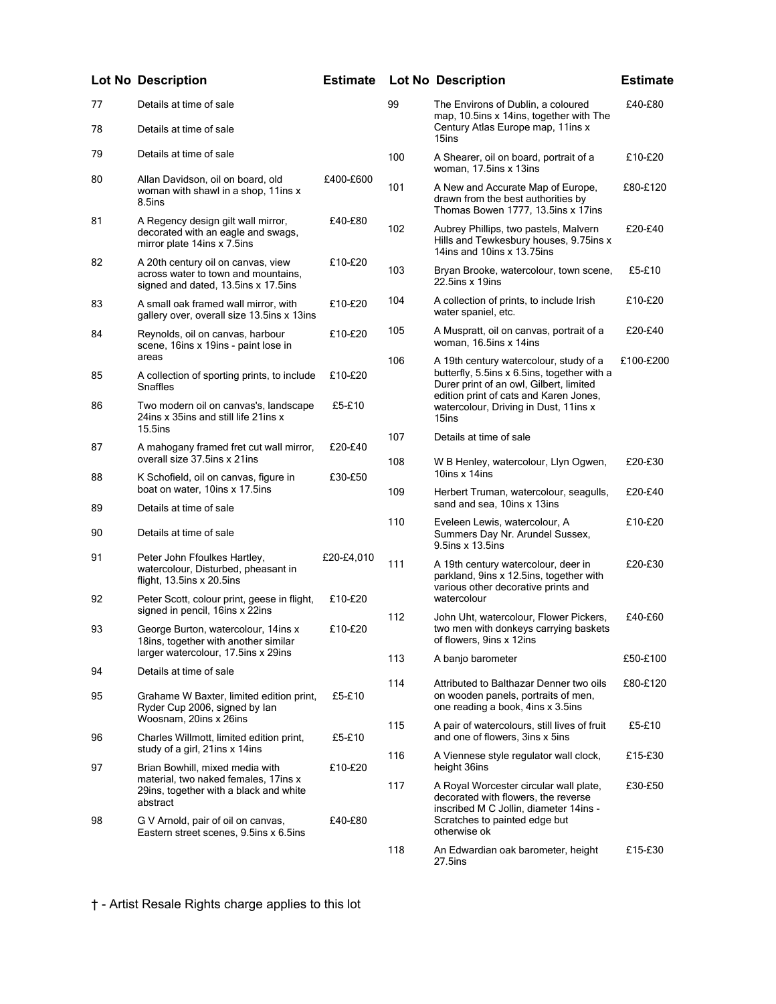|    | Lot No Description                                                                                               | <b>Estimate</b> |     | Lot No Description                                                                                                                                                         | <b>Estimate</b> |
|----|------------------------------------------------------------------------------------------------------------------|-----------------|-----|----------------------------------------------------------------------------------------------------------------------------------------------------------------------------|-----------------|
| 77 | Details at time of sale                                                                                          |                 | 99  | The Environs of Dublin, a coloured<br>map, 10.5ins x 14ins, together with The                                                                                              | £40-£80         |
| 78 | Details at time of sale                                                                                          |                 |     | Century Atlas Europe map, 11ins x<br>15ins                                                                                                                                 |                 |
| 79 | Details at time of sale                                                                                          |                 | 100 | A Shearer, oil on board, portrait of a<br>woman, 17.5ins x 13ins                                                                                                           | £10-£20         |
| 80 | Allan Davidson, oil on board, old<br>woman with shawl in a shop, 11ins x<br>8.5ins                               | £400-£600       | 101 | A New and Accurate Map of Europe,<br>drawn from the best authorities by<br>Thomas Bowen 1777, 13.5ins x 17ins                                                              | £80-£120        |
| 81 | A Regency design gilt wall mirror,<br>decorated with an eagle and swags,<br>mirror plate 14ins x 7.5ins          | £40-£80         | 102 | Aubrey Phillips, two pastels, Malvern<br>Hills and Tewkesbury houses, 9.75ins x<br>14ins and 10ins x 13.75ins                                                              | £20-£40         |
| 82 | A 20th century oil on canvas, view<br>across water to town and mountains,<br>signed and dated, 13.5ins x 17.5ins | £10-£20         | 103 | Bryan Brooke, watercolour, town scene,<br>$22.5$ ins x 19ins                                                                                                               | £5-£10          |
| 83 | A small oak framed wall mirror, with<br>gallery over, overall size 13.5ins x 13ins                               | £10-£20         | 104 | A collection of prints, to include Irish<br>water spaniel, etc.                                                                                                            | £10-£20         |
| 84 | Reynolds, oil on canvas, harbour<br>scene, 16ins x 19ins - paint lose in                                         | £10-£20         | 105 | A Muspratt, oil on canvas, portrait of a<br>woman, 16.5ins x 14ins                                                                                                         | £20-£40         |
| 85 | areas<br>A collection of sporting prints, to include<br>Snaffles                                                 | £10-£20         | 106 | A 19th century watercolour, study of a<br>butterfly, 5.5ins x 6.5ins, together with a<br>Durer print of an owl, Gilbert, limited<br>edition print of cats and Karen Jones, | £100-£200       |
| 86 | Two modern oil on canvas's, landscape<br>24ins x 35ins and still life 21ins x<br>$15.5$ ins                      | £5-£10          |     | watercolour, Driving in Dust, 11ins x<br>15ins                                                                                                                             |                 |
| 87 | A mahogany framed fret cut wall mirror,                                                                          | £20-£40         | 107 | Details at time of sale                                                                                                                                                    |                 |
| 88 | overall size 37.5ins x 21ins<br>K Schofield, oil on canvas, figure in                                            | £30-£50         | 108 | W B Henley, watercolour, Llyn Ogwen,<br>10ins $x$ 14ins                                                                                                                    | £20-£30         |
|    | boat on water, 10ins x 17.5ins                                                                                   |                 | 109 | Herbert Truman, watercolour, seagulls,<br>sand and sea, 10ins x 13ins                                                                                                      | £20-£40         |
| 89 | Details at time of sale                                                                                          |                 | 110 | Eveleen Lewis, watercolour, A                                                                                                                                              | £10-£20         |
| 90 | Details at time of sale                                                                                          |                 |     | Summers Day Nr. Arundel Sussex,<br>9.5ins x 13.5ins                                                                                                                        |                 |
| 91 | Peter John Ffoulkes Hartley,<br>watercolour, Disturbed, pheasant in<br>flight, 13.5ins x 20.5ins                 | £20-£4,010      | 111 | A 19th century watercolour, deer in<br>parkland, 9ins x 12.5ins, together with<br>various other decorative prints and                                                      | £20-£30         |
| 92 | Peter Scott, colour print, geese in flight,<br>signed in pencil, 16ins x 22ins                                   | £10-£20         |     | watercolour                                                                                                                                                                |                 |
| 93 | George Burton, watercolour, 14ins x<br>18ins, together with another similar                                      | £10-£20         | 112 | John Uht, watercolour, Flower Pickers,<br>two men with donkeys carrying baskets<br>of flowers, 9ins x 12ins                                                                | £40-£60         |
| 94 | larger watercolour, 17.5ins x 29ins<br>Details at time of sale                                                   |                 | 113 | A banjo barometer                                                                                                                                                          | £50-£100        |
| 95 | Grahame W Baxter, limited edition print,<br>Ryder Cup 2006, signed by lan                                        | £5-£10          | 114 | Attributed to Balthazar Denner two oils<br>on wooden panels, portraits of men,<br>one reading a book, 4ins x 3.5ins                                                        | £80-£120        |
| 96 | Woosnam, 20ins x 26ins<br>Charles Willmott, limited edition print,<br>study of a girl, 21ins x 14ins             | £5-£10          | 115 | A pair of watercolours, still lives of fruit<br>and one of flowers, 3ins x 5ins                                                                                            | £5-£10          |
| 97 | Brian Bowhill, mixed media with                                                                                  | £10-£20         | 116 | A Viennese style regulator wall clock,<br>height 36ins                                                                                                                     | £15-£30         |
|    | material, two naked females, 17ins x<br>29ins, together with a black and white<br>abstract                       |                 | 117 | A Royal Worcester circular wall plate,<br>decorated with flowers, the reverse<br>inscribed M C Jollin, diameter 14ins -                                                    | £30-£50         |
| 98 | G V Arnold, pair of oil on canvas,<br>Eastern street scenes, 9.5ins x 6.5ins                                     | £40-£80         |     | Scratches to painted edge but<br>otherwise ok                                                                                                                              |                 |
|    |                                                                                                                  |                 | 118 | An Edwardian oak barometer, height<br>27.5ins                                                                                                                              | £15-£30         |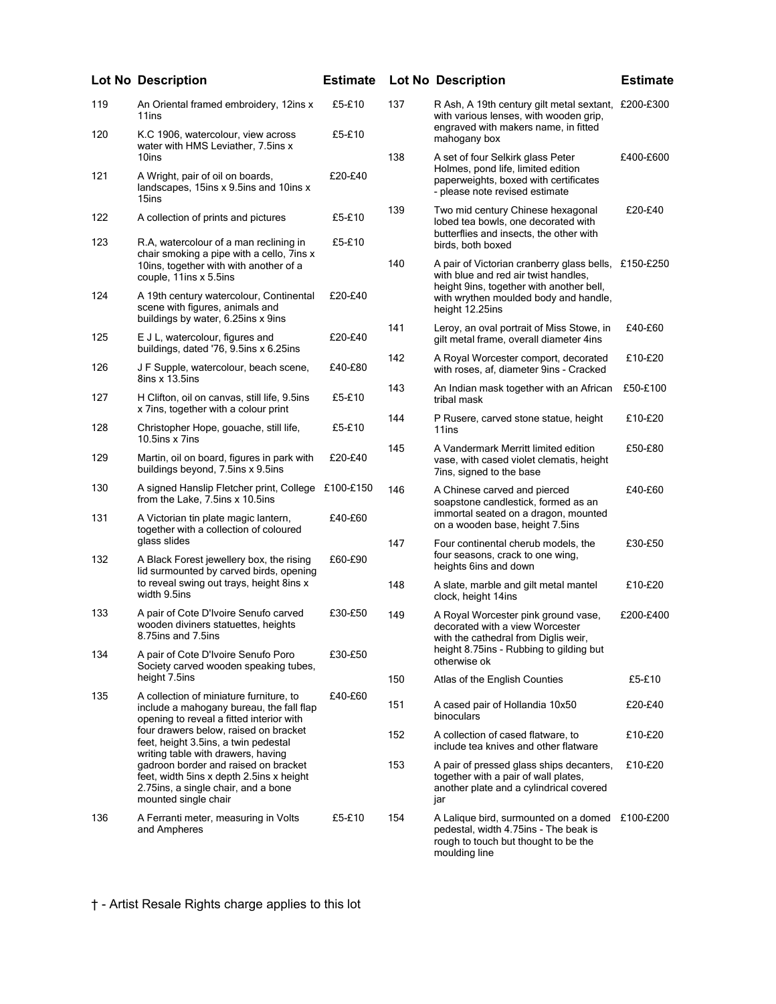|     | <b>Lot No Description</b>                                                                                                                               | <b>Estimate</b> |     | <b>Lot No Description</b>                                                                                                                          | <b>Estimate</b> |
|-----|---------------------------------------------------------------------------------------------------------------------------------------------------------|-----------------|-----|----------------------------------------------------------------------------------------------------------------------------------------------------|-----------------|
| 119 | An Oriental framed embroidery, 12ins x<br>11ins                                                                                                         | £5-£10          | 137 | R Ash, A 19th century gilt metal sextant, £200-£300<br>with various lenses, with wooden grip,                                                      |                 |
| 120 | K.C 1906, watercolour, view across<br>water with HMS Leviather, 7.5ins x                                                                                | £5-£10          |     | engraved with makers name, in fitted<br>mahogany box                                                                                               |                 |
| 121 | 10ins<br>A Wright, pair of oil on boards,<br>landscapes, 15ins x 9.5ins and 10ins x<br>15ins                                                            | £20-£40         | 138 | A set of four Selkirk glass Peter<br>Holmes, pond life, limited edition<br>paperweights, boxed with certificates<br>- please note revised estimate | £400-£600       |
| 122 | A collection of prints and pictures                                                                                                                     | £5-£10          | 139 | Two mid century Chinese hexagonal<br>lobed tea bowls, one decorated with<br>butterflies and insects, the other with                                | £20-£40         |
| 123 | R.A. watercolour of a man reclining in<br>chair smoking a pipe with a cello, 7ins x<br>10ins, together with with another of a<br>couple, 11ins x 5.5ins | £5-£10          | 140 | birds, both boxed<br>A pair of Victorian cranberry glass bells, £150-£250<br>with blue and red air twist handles,                                  |                 |
| 124 | A 19th century watercolour, Continental<br>scene with figures, animals and<br>buildings by water, 6.25ins x 9ins                                        | £20-£40         |     | height 9ins, together with another bell,<br>with wrythen moulded body and handle,<br>height 12.25ins                                               |                 |
| 125 | E J L, watercolour, figures and<br>buildings, dated '76, 9.5ins x 6.25ins                                                                               | £20-£40         | 141 | Leroy, an oval portrait of Miss Stowe, in<br>gilt metal frame, overall diameter 4ins                                                               | £40-£60         |
| 126 | J F Supple, watercolour, beach scene,<br>$8$ ins x $13.5$ ins                                                                                           | £40-£80         | 142 | A Royal Worcester comport, decorated<br>with roses, af, diameter 9ins - Cracked                                                                    | £10-£20         |
| 127 | H Clifton, oil on canvas, still life, 9.5ins<br>x 7ins, together with a colour print                                                                    | £5-£10          | 143 | An Indian mask together with an African<br>tribal mask                                                                                             | £50-£100        |
| 128 | Christopher Hope, gouache, still life,<br>10.5ins x 7ins                                                                                                | £5-£10          | 144 | P Rusere, carved stone statue, height<br>11ins                                                                                                     | £10-£20         |
| 129 | Martin, oil on board, figures in park with<br>buildings beyond, 7.5ins x 9.5ins                                                                         | £20-£40         | 145 | A Vandermark Merritt limited edition<br>vase, with cased violet clematis, height<br>7ins, signed to the base                                       | £50-£80         |
| 130 | A signed Hanslip Fletcher print, College £100-£150<br>from the Lake, 7.5ins x 10.5ins                                                                   |                 | 146 | A Chinese carved and pierced<br>soapstone candlestick, formed as an                                                                                | £40-£60         |
| 131 | A Victorian tin plate magic lantern,<br>together with a collection of coloured<br>glass slides                                                          | £40-£60         |     | immortal seated on a dragon, mounted<br>on a wooden base, height 7.5ins                                                                            |                 |
| 132 | A Black Forest jewellery box, the rising<br>lid surmounted by carved birds, opening                                                                     | £60-£90         | 147 | Four continental cherub models, the<br>four seasons, crack to one wing,<br>heights 6ins and down                                                   | £30-£50         |
|     | to reveal swing out trays, height 8ins x<br>width 9.5ins                                                                                                |                 | 148 | A slate, marble and gilt metal mantel<br>clock, height 14ins                                                                                       | £10-£20         |
| 133 | A pair of Cote D'Ivoire Senufo carved<br>wooden diviners statuettes, heights<br>8.75ins and 7.5ins                                                      | £30-£50         | 149 | A Royal Worcester pink ground vase,<br>decorated with a view Worcester<br>with the cathedral from Diglis weir,                                     | £200-£400       |
| 134 | A pair of Cote D'Ivoire Senufo Poro<br>Society carved wooden speaking tubes,                                                                            | £30-£50         |     | height 8.75ins - Rubbing to gilding but<br>otherwise ok                                                                                            |                 |
|     | height 7.5ins                                                                                                                                           |                 | 150 | Atlas of the English Counties                                                                                                                      | £5-£10          |
| 135 | A collection of miniature furniture, to<br>include a mahogany bureau, the fall flap<br>opening to reveal a fitted interior with                         | £40-£60         | 151 | A cased pair of Hollandia 10x50<br>binoculars                                                                                                      | £20-£40         |
|     | four drawers below, raised on bracket<br>feet, height 3.5ins, a twin pedestal<br>writing table with drawers, having                                     |                 | 152 | A collection of cased flatware, to<br>include tea knives and other flatware                                                                        | £10-£20         |
|     | gadroon border and raised on bracket<br>feet, width 5ins x depth 2.5ins x height<br>2.75ins, a single chair, and a bone<br>mounted single chair         |                 | 153 | A pair of pressed glass ships decanters,<br>together with a pair of wall plates,<br>another plate and a cylindrical covered<br>jar                 | £10-£20         |
| 136 | A Ferranti meter, measuring in Volts<br>and Ampheres                                                                                                    | £5-£10          | 154 | A Lalique bird, surmounted on a domed £100-£200<br>pedestal, width 4.75ins - The beak is<br>rough to touch but thought to be the<br>moulding line  |                 |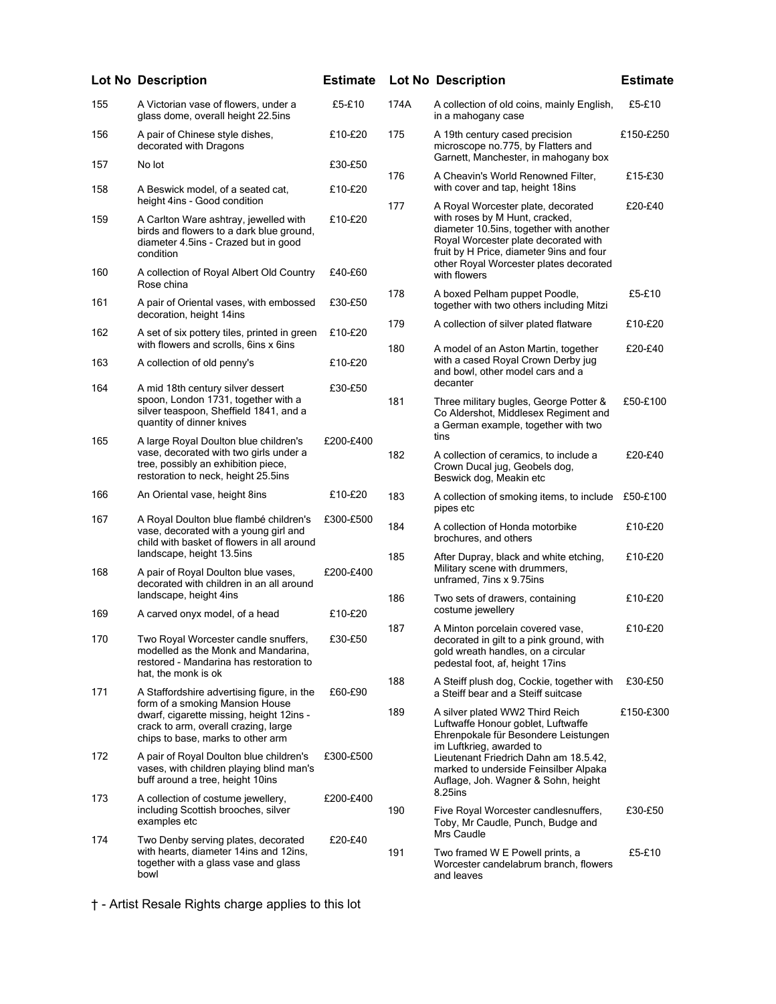|     | <b>Lot No Description</b>                                                                                                                                     | <b>Estimate</b> | Lo         |
|-----|---------------------------------------------------------------------------------------------------------------------------------------------------------------|-----------------|------------|
| 155 | A Victorian vase of flowers, under a<br>glass dome, overall height 22.5ins                                                                                    | £5-£10          | 174        |
| 156 | A pair of Chinese style dishes,<br>decorated with Dragons                                                                                                     | £10-£20         | 175        |
| 157 | No lot                                                                                                                                                        | £30-£50         | 176        |
| 158 | A Beswick model, of a seated cat,<br>height 4ins - Good condition                                                                                             | £10-£20         | 177        |
| 159 | A Carlton Ware ashtray, jewelled with<br>birds and flowers to a dark blue ground,<br>diameter 4.5ins - Crazed but in good<br>condition                        | £10-£20         |            |
| 160 | A collection of Royal Albert Old Country<br>Rose china                                                                                                        | £40-£60         | 178        |
| 161 | A pair of Oriental vases, with embossed<br>decoration, height 14ins                                                                                           | £30-£50         | 179        |
| 162 | A set of six pottery tiles, printed in green<br>with flowers and scrolls, 6ins x 6ins                                                                         | £10-£20         | 180        |
| 163 | A collection of old penny's                                                                                                                                   | £10-£20         |            |
| 164 | A mid 18th century silver dessert<br>spoon, London 1731, together with a<br>silver teaspoon, Sheffield 1841, and a<br>quantity of dinner knives               | £30-£50         | 181        |
| 165 | A large Royal Doulton blue children's<br>vase, decorated with two girls under a<br>tree, possibly an exhibition piece,<br>restoration to neck, height 25.5ins | £200-£400       | 182        |
| 166 | An Oriental vase, height 8ins                                                                                                                                 | £10-£20         | 183        |
| 167 | A Royal Doulton blue flambé children's<br>vase, decorated with a young girl and<br>child with basket of flowers in all around<br>landscape, height 13.5ins    | £300-£500       | 184<br>185 |
| 168 | A pair of Royal Doulton blue vases,<br>decorated with children in an all around<br>landscape, height 4ins                                                     | £200-£400       | 186        |
| 169 | A carved onyx model, of a head                                                                                                                                | £10-£20         |            |
| 170 | Two Royal Worcester candle snuffers.<br>modelled as the Monk and Mandarina,<br>restored - Mandarina has restoration to<br>hat, the monk is ok                 | £30-£50         | 187        |
| 171 | A Staffordshire advertising figure, in the                                                                                                                    | £60-£90         | 188        |
|     | form of a smoking Mansion House<br>dwarf, cigarette missing, height 12ins -<br>crack to arm, overall crazing, large<br>chips to base, marks to other arm      |                 | 189        |
| 172 | A pair of Royal Doulton blue children's<br>vases, with children playing blind man's<br>buff around a tree, height 10ins                                       | £300-£500       |            |
| 173 | A collection of costume jewellery,<br>including Scottish brooches, silver<br>examples etc                                                                     | £200-£400       | 190        |
| 174 | Two Denby serving plates, decorated<br>with hearts, diameter 14ins and 12ins,<br>together with a glass vase and glass<br>bowl                                 | £20-£40         | 191        |

14 A collection of old coins, mainly English, in a mahogany case £5-£10 A 19th century cased precision microscope no.775, by Flatters and Garnett, Manchester, in mahogany box £150-£250 A Cheavin's World Renowned Filter, with cover and tap, height 18ins £15-£30 A Royal Worcester plate, decorated with roses by M Hunt, cracked, diameter 10.5ins, together with another Royal Worcester plate decorated with fruit by H Price, diameter 9ins and four other Royal Worcester plates decorated with flowers £20-£40 A boxed Pelham puppet Poodle, together with two others including Mitzi £5-£10 A collection of silver plated flatware £10-£20 A model of an Aston Martin, together with a cased Royal Crown Derby jug and bowl, other model cars and a decanter £20-£40 Three military bugles, George Potter & Co Aldershot, Middlesex Regiment and a German example, together with two tins £50-£100 A collection of ceramics, to include a Crown Ducal jug, Geobels dog, Beswick dog, Meakin etc £20-£40 183 A collection of smoking items, to include £50-£100 pipes etc A collection of Honda motorbike brochures, and others £10-£20 After Dupray, black and white etching, Military scene with drummers, unframed, 7ins x 9.75ins £10-£20 Two sets of drawers, containing costume jewellery £10-£20 A Minton porcelain covered vase, decorated in gilt to a pink ground, with gold wreath handles, on a circular pedestal foot, af, height 17ins £10-£20 A Steiff plush dog, Cockie, together with a Steiff bear and a Steiff suitcase £30-£50 A silver plated WW2 Third Reich Luftwaffe Honour goblet, Luftwaffe Ehrenpokale für Besondere Leistungen im Luftkrieg, awarded to Lieutenant Friedrich Dahn am 18.5.42, marked to underside Feinsilber Alpaka Auflage, Joh. Wagner & Sohn, height 8.25ins £150-£300 Five Royal Worcester candlesnuffers, Toby, Mr Caudle, Punch, Budge and Mrs Caudle £30-£50 Two framed W E Powell prints, a Worcester candelabrum branch, flowers £5-£10

and leaves

† - Artist Resale Rights charge applies to this lot

**Lot No Description Estimate Lot No Description Estimate**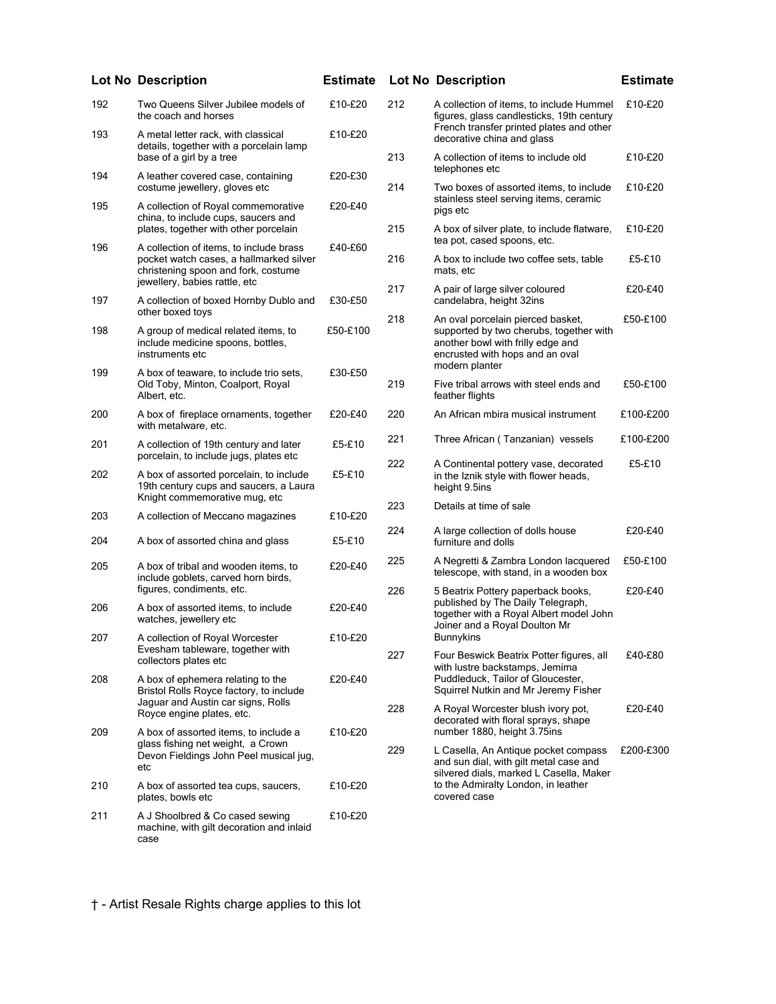|     | <b>Lot No Description</b>                                                                                            | <b>Estimate</b> |     | <b>Lot No Description</b>                                                                                                                                              | <b>Estimate</b> |
|-----|----------------------------------------------------------------------------------------------------------------------|-----------------|-----|------------------------------------------------------------------------------------------------------------------------------------------------------------------------|-----------------|
| 192 | Two Queens Silver Jubilee models of<br>the coach and horses                                                          | £10-£20         | 212 | A collection of items, to include Hummel<br>figures, glass candlesticks, 19th century                                                                                  | £10-£20         |
| 193 | A metal letter rack, with classical<br>details, together with a porcelain lamp                                       | £10-£20         |     | French transfer printed plates and other<br>decorative china and glass                                                                                                 |                 |
| 194 | base of a girl by a tree                                                                                             | £20-£30         | 213 | A collection of items to include old<br>telephones etc                                                                                                                 | £10-£20         |
|     | A leather covered case, containing<br>costume jewellery, gloves etc                                                  |                 | 214 | Two boxes of assorted items, to include<br>stainless steel serving items, ceramic                                                                                      | £10-£20         |
| 195 | A collection of Royal commemorative<br>china, to include cups, saucers and<br>plates, together with other porcelain  | £20-£40         | 215 | pigs etc<br>A box of silver plate, to include flatware,                                                                                                                | £10-£20         |
| 196 | A collection of items, to include brass                                                                              | £40-£60         |     | tea pot, cased spoons, etc.                                                                                                                                            |                 |
|     | pocket watch cases, a hallmarked silver<br>christening spoon and fork, costume<br>jewellery, babies rattle, etc      |                 | 216 | A box to include two coffee sets, table<br>mats, etc                                                                                                                   | £5-£10          |
| 197 | A collection of boxed Hornby Dublo and<br>other boxed toys                                                           | £30-£50         | 217 | A pair of large silver coloured<br>candelabra, height 32ins                                                                                                            | £20-£40         |
| 198 | A group of medical related items, to<br>include medicine spoons, bottles,<br>instruments etc                         | £50-£100        | 218 | An oval porcelain pierced basket,<br>supported by two cherubs, together with<br>another bowl with frilly edge and<br>encrusted with hops and an oval<br>modern planter | £50-£100        |
| 199 | A box of teaware, to include trio sets,<br>Old Toby, Minton, Coalport, Royal<br>Albert, etc.                         | £30-£50         | 219 | Five tribal arrows with steel ends and<br>feather flights                                                                                                              | £50-£100        |
| 200 | A box of fireplace ornaments, together<br>with metalware, etc.                                                       | £20-£40         | 220 | An African mbira musical instrument                                                                                                                                    | £100-£200       |
| 201 | A collection of 19th century and later<br>porcelain, to include jugs, plates etc                                     | £5-£10          | 221 | Three African (Tanzanian) vessels                                                                                                                                      | £100-£200       |
| 202 | A box of assorted porcelain, to include<br>19th century cups and saucers, a Laura<br>Knight commemorative mug, etc   | £5-£10          | 222 | A Continental pottery vase, decorated<br>in the Iznik style with flower heads,<br>height 9.5ins                                                                        | £5-£10          |
| 203 | A collection of Meccano magazines                                                                                    | £10-£20         | 223 | Details at time of sale                                                                                                                                                |                 |
| 204 | A box of assorted china and glass                                                                                    | £5-£10          | 224 | A large collection of dolls house<br>furniture and dolls                                                                                                               | £20-£40         |
| 205 | A box of tribal and wooden items, to<br>include goblets, carved horn birds,                                          | £20-£40         | 225 | A Negretti & Zambra London lacquered<br>telescope, with stand, in a wooden box                                                                                         | £50-£100        |
|     | figures, condiments, etc.                                                                                            | £20-£40         | 226 | 5 Beatrix Pottery paperback books,<br>published by The Daily Telegraph,                                                                                                | £20-£40         |
| 206 | A box of assorted items, to include<br>watches, jewellery etc                                                        |                 |     | together with a Royal Albert model John<br>Joiner and a Royal Doulton Mr                                                                                               |                 |
| 207 | A collection of Royal Worcester<br>Evesham tableware, together with<br>collectors plates etc                         | £10-£20         | 227 | <b>Bunnykins</b><br>Four Beswick Beatrix Potter figures, all                                                                                                           | £40-£80         |
| 208 | A box of ephemera relating to the<br>Bristol Rolls Royce factory, to include                                         | £20-£40         |     | with lustre backstamps, Jemima<br>Puddleduck. Tailor of Gloucester.<br>Squirrel Nutkin and Mr Jeremy Fisher                                                            |                 |
|     | Jaguar and Austin car signs, Rolls<br>Royce engine plates, etc.                                                      |                 | 228 | A Royal Worcester blush ivory pot,<br>decorated with floral sprays, shape                                                                                              | £20-£40         |
| 209 | A box of assorted items, to include a<br>glass fishing net weight, a Crown<br>Devon Fieldings John Peel musical jug, | £10-£20         | 229 | number 1880, height 3.75ins<br>L Casella, An Antique pocket compass<br>and sun dial, with gilt metal case and                                                          | £200-£300       |
| 210 | etc<br>A box of assorted tea cups, saucers,<br>plates, bowls etc                                                     | £10-£20         |     | silvered dials, marked L Casella, Maker<br>to the Admiralty London, in leather<br>covered case                                                                         |                 |
| 211 | A J Shoolbred & Co cased sewing<br>machine, with gilt decoration and inlaid<br>case                                  | £10-£20         |     |                                                                                                                                                                        |                 |

## ection of items, to include Hummel s, glass candlesticks, 19th century ch transfer printed plates and other ative china and glass<sup></sup> £10-£20 ection of items to include old hones etc £10-£20 20xes of assorted items, to include ess steel serving items, ceramic  $etc.$ £10-£20 of silver plate, to include flatware, ot, cased spoons, etc. £10-£20 to include two coffee sets, table etc £5-£10 of large silver coloured elabra, height 32ins £20-£40 ral porcelain pierced basket, orted by two cherubs, together with er bowl with frilly edge and sted with hops and an oval ern planter £50-£100 ribal arrows with steel ends and er flights £50-£100 rican mbira musical instrument £100-£200 2200 African ( Tanzanian) vessels £100-£200 ntinental pottery vase, decorated Iznik style with flower heads, ht 9.5ins £5-£10 Is at time of sale je collection of dolls house *i* re and dolls £20-£40

- gretti & Zambra London lacquered <sub>c</sub>ope, with stand, in a wooden box £50-£100
- atrix Pottery paperback books, shed by The Daily Telegraph, her with a Royal Albert model John r and a Royal Doulton Mr ykins £20-£40
- Beswick Beatrix Potter figures, all ustre backstamps, Jemima leduck, Tailor of Gloucester, rel Nutkin and Mr Jeremy Fisher £40-£80 £20-£40
- al Worcester blush ivory pot, ated with floral sprays, shape er 1880, height 3.75ins
- ella, An Antique pocket compass un dial, with gilt metal case and ed dials, marked L Casella, Maker Admiralty London, in leather ed case £200-£300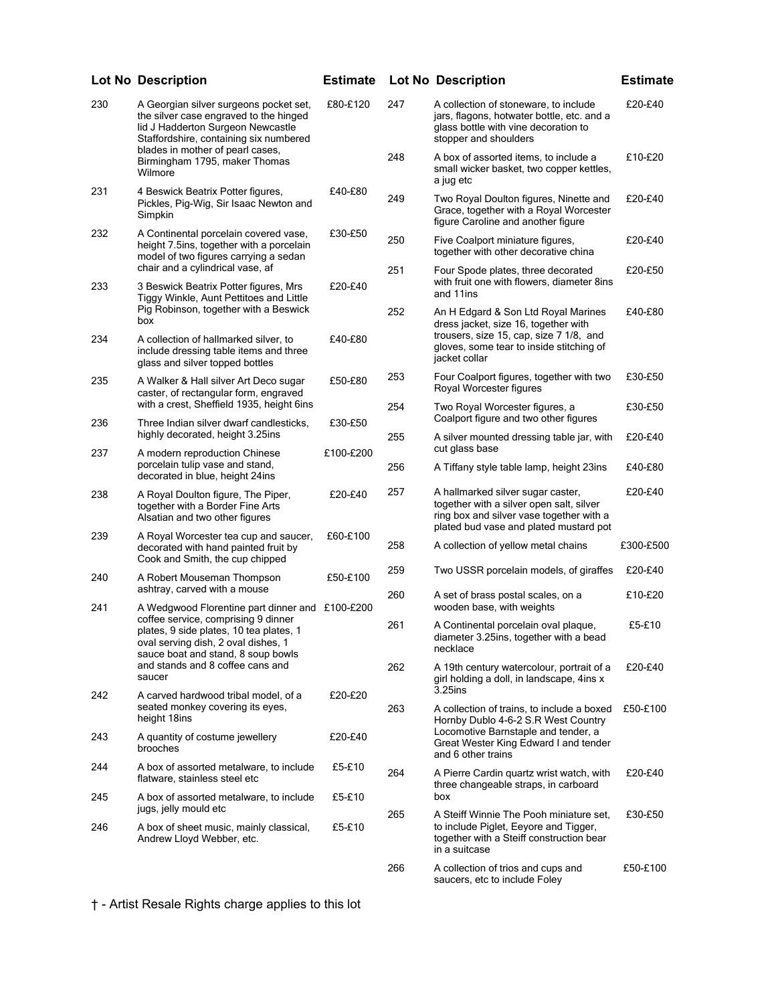|     | <b>Lot No Description</b>                                                                                                                                                                           | <b>Estimate</b> |            | <b>Lot No Description</b>                                                                                                                                           | <b>Estimate</b>    |
|-----|-----------------------------------------------------------------------------------------------------------------------------------------------------------------------------------------------------|-----------------|------------|---------------------------------------------------------------------------------------------------------------------------------------------------------------------|--------------------|
| 230 | A Georgian silver surgeons pocket set,<br>the silver case engraved to the hinged<br>lid J Hadderton Surgeon Newcastle<br>Staffordshire, containing six numbered<br>blades in mother of pearl cases, | £80-£120        | 247        | A collection of stoneware, to include<br>jars, flagons, hotwater bottle, etc. and a<br>glass bottle with vine decoration to<br>stopper and shoulders                | £20-£40            |
|     | Birmingham 1795, maker Thomas<br>Wilmore                                                                                                                                                            |                 | 248        | A box of assorted items, to include a<br>small wicker basket, two copper kettles,<br>a jug etc                                                                      | £10-£20            |
| 231 | 4 Beswick Beatrix Potter figures,<br>Pickles, Pig-Wig, Sir Isaac Newton and<br>Simpkin                                                                                                              | £40-£80         | 249        | Two Royal Doulton figures, Ninette and<br>Grace, together with a Royal Worcester<br>figure Caroline and another figure                                              | £20-£40            |
| 232 | A Continental porcelain covered vase,<br>height 7.5ins, together with a porcelain<br>model of two figures carrying a sedan                                                                          | £30-£50         | 250        | Five Coalport miniature figures,<br>together with other decorative china                                                                                            | £20-£40            |
| 233 | chair and a cylindrical vase, af<br>3 Beswick Beatrix Potter figures, Mrs<br>Tiggy Winkle, Aunt Pettitoes and Little                                                                                | £20-£40         | 251        | Four Spode plates, three decorated<br>with fruit one with flowers, diameter 8ins<br>and 11ins                                                                       | £20-£50            |
| 234 | Pig Robinson, together with a Beswick<br>box                                                                                                                                                        |                 | 252        | An H Edgard & Son Ltd Royal Marines<br>dress jacket, size 16, together with<br>trousers, size 15, cap, size 7 1/8, and                                              | £40-£80            |
|     | A collection of hallmarked silver, to<br>include dressing table items and three<br>glass and silver topped bottles                                                                                  | £40-£80         |            | gloves, some tear to inside stitching of<br>jacket collar                                                                                                           |                    |
| 235 | A Walker & Hall silver Art Deco sugar<br>caster, of rectangular form, engraved<br>with a crest, Sheffield 1935, height 6ins                                                                         | £50-£80         | 253        | Four Coalport figures, together with two<br>Royal Worcester figures                                                                                                 | £30-£50            |
| 236 | Three Indian silver dwarf candlesticks,<br>highly decorated, height 3.25ins                                                                                                                         | £30-£50         | 254<br>255 | Two Royal Worcester figures, a<br>Coalport figure and two other figures<br>A silver mounted dressing table jar, with                                                | £30-£50<br>£20-£40 |
| 237 | A modern reproduction Chinese<br>porcelain tulip vase and stand,                                                                                                                                    | £100-£200       | 256        | cut glass base<br>A Tiffany style table lamp, height 23ins                                                                                                          | £40-£80            |
|     | decorated in blue, height 24ins                                                                                                                                                                     |                 |            |                                                                                                                                                                     |                    |
| 238 | A Royal Doulton figure, The Piper,<br>together with a Border Fine Arts<br>Alsatian and two other figures                                                                                            | £20-£40         | 257        | A hallmarked silver sugar caster,<br>together with a silver open salt, silver<br>ring box and silver vase together with a<br>plated bud vase and plated mustard pot | £20-£40            |
| 239 | A Royal Worcester tea cup and saucer,<br>decorated with hand painted fruit by<br>Cook and Smith, the cup chipped                                                                                    | £60-£100        | 258        | A collection of yellow metal chains                                                                                                                                 | £300-£500          |
| 240 | A Robert Mouseman Thompson<br>ashtray, carved with a mouse                                                                                                                                          | £50-£100        | 259        | Two USSR porcelain models, of giraffes                                                                                                                              | £20-£40            |
| 241 | A Wedgwood Florentine part dinner and £100-£200                                                                                                                                                     |                 | 260        | A set of brass postal scales, on a<br>wooden base, with weights                                                                                                     | £10-£20            |
|     | coffee service, comprising 9 dinner<br>plates, 9 side plates, 10 tea plates, 1<br>oval serving dish, 2 oval dishes, 1<br>sauce boat and stand, 8 soup bowls                                         |                 | 261        | A Continental porcelain oval plaque,<br>diameter 3.25ins, together with a bead<br>necklace                                                                          | £5-£10             |
|     | and stands and 8 coffee cans and<br>saucer                                                                                                                                                          |                 | 262        | A 19th century watercolour, portrait of a<br>girl holding a doll, in landscape, 4ins x<br>3.25ins                                                                   | £20-£40            |
| 242 | A carved hardwood tribal model, of a<br>seated monkey covering its eyes,<br>height 18ins                                                                                                            | £20-£20         | 263        | A collection of trains, to include a boxed<br>Hornby Dublo 4-6-2 S.R West Country                                                                                   | £50-£100           |
| 243 | A quantity of costume jewellery<br>brooches                                                                                                                                                         | £20-£40         |            | Locomotive Barnstaple and tender, a<br>Great Wester King Edward I and tender<br>and 6 other trains                                                                  |                    |
| 244 | A box of assorted metalware, to include<br>flatware, stainless steel etc                                                                                                                            | £5-£10          | 264        | A Pierre Cardin quartz wrist watch, with<br>three changeable straps, in carboard                                                                                    | £20-£40            |
| 245 | A box of assorted metalware, to include<br>jugs, jelly mould etc                                                                                                                                    | £5-£10          | 265        | box                                                                                                                                                                 | £30-£50            |
| 246 | A box of sheet music, mainly classical,<br>Andrew Lloyd Webber, etc.                                                                                                                                | £5-£10          |            | A Steiff Winnie The Pooh miniature set,<br>to include Piglet, Eeyore and Tigger,<br>together with a Steiff construction bear<br>in a suitcase                       |                    |
|     |                                                                                                                                                                                                     |                 | 266        | A collection of trios and cups and<br>saucers, etc to include Foley                                                                                                 | £50-£100           |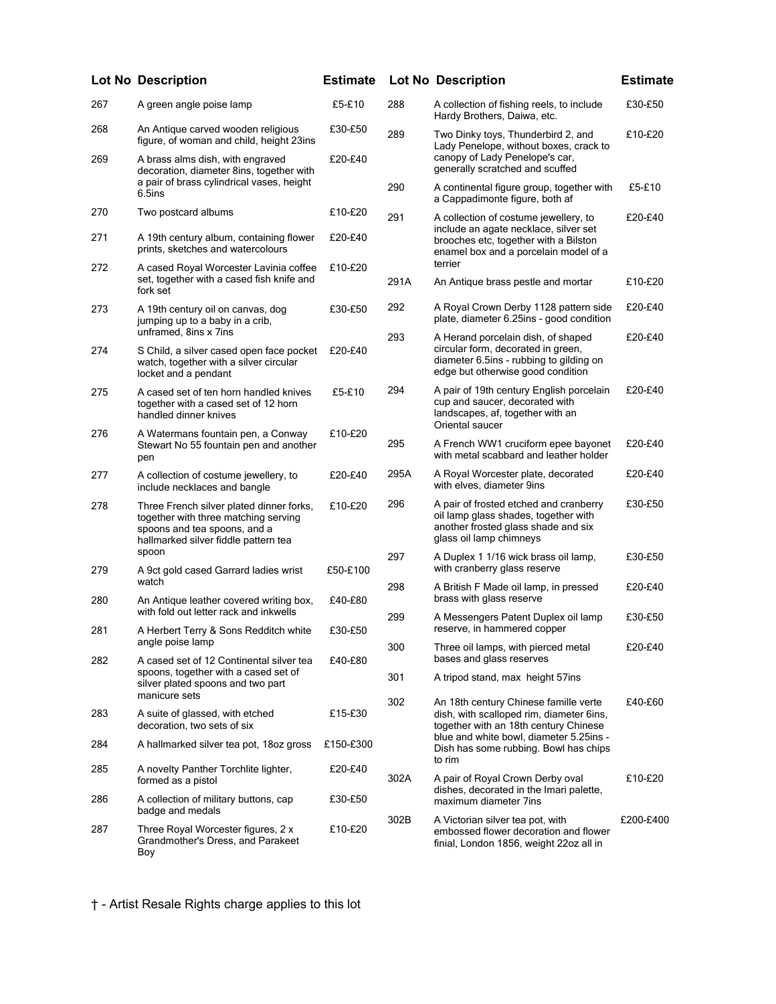|     | <b>Lot No Description</b>                                                                                                                                | <b>Estimate</b> |      | <b>Lot No Description</b>                                                                                                                                | <b>Estimate</b> |
|-----|----------------------------------------------------------------------------------------------------------------------------------------------------------|-----------------|------|----------------------------------------------------------------------------------------------------------------------------------------------------------|-----------------|
| 267 | A green angle poise lamp                                                                                                                                 | £5-£10          | 288  | A collection of fishing reels, to include<br>Hardy Brothers, Daiwa, etc.                                                                                 | £30-£50         |
| 268 | An Antique carved wooden religious<br>figure, of woman and child, height 23ins                                                                           | £30-£50         | 289  | Two Dinky toys, Thunderbird 2, and<br>Lady Penelope, without boxes, crack to                                                                             | £10-£20         |
| 269 | A brass alms dish, with engraved<br>decoration, diameter 8ins, together with<br>a pair of brass cylindrical vases, height                                | £20-£40         |      | canopy of Lady Penelope's car,<br>generally scratched and scuffed                                                                                        |                 |
|     | 6.5ins                                                                                                                                                   |                 | 290  | A continental figure group, together with<br>a Cappadimonte figure, both af                                                                              | £5-£10          |
| 270 | Two postcard albums                                                                                                                                      | £10-£20         | 291  | A collection of costume jewellery, to<br>include an agate necklace, silver set                                                                           | £20-£40         |
| 271 | A 19th century album, containing flower<br>prints, sketches and watercolours                                                                             | £20-£40         |      | brooches etc, together with a Bilston<br>enamel box and a porcelain model of a                                                                           |                 |
| 272 | A cased Royal Worcester Lavinia coffee<br>set, together with a cased fish knife and<br>fork set                                                          | £10-£20         | 291A | terrier<br>An Antique brass pestle and mortar                                                                                                            | £10-£20         |
| 273 | A 19th century oil on canvas, dog<br>jumping up to a baby in a crib,<br>unframed, 8ins x 7ins                                                            | £30-£50         | 292  | A Royal Crown Derby 1128 pattern side<br>plate, diameter 6.25ins - good condition                                                                        | £20-£40         |
| 274 | S Child, a silver cased open face pocket<br>watch, together with a silver circular<br>locket and a pendant                                               | £20-£40         | 293  | A Herand porcelain dish, of shaped<br>circular form, decorated in green,<br>diameter 6.5ins - rubbing to gilding on<br>edge but otherwise good condition | £20-£40         |
| 275 | A cased set of ten horn handled knives<br>together with a cased set of 12 horn<br>handled dinner knives                                                  | £5-£10          | 294  | A pair of 19th century English porcelain<br>cup and saucer, decorated with<br>landscapes, af, together with an<br>Oriental saucer                        | £20-£40         |
| 276 | A Watermans fountain pen, a Conway<br>Stewart No 55 fountain pen and another<br>pen                                                                      | £10-£20         | 295  | A French WW1 cruciform epee bayonet<br>with metal scabbard and leather holder                                                                            | £20-£40         |
| 277 | A collection of costume jewellery, to<br>include necklaces and bangle                                                                                    | £20-£40         | 295A | A Royal Worcester plate, decorated<br>with elves, diameter 9ins                                                                                          | £20-£40         |
| 278 | Three French silver plated dinner forks,<br>together with three matching serving<br>spoons and tea spoons, and a<br>hallmarked silver fiddle pattern tea | £10-£20         | 296  | A pair of frosted etched and cranberry<br>oil lamp glass shades, together with<br>another frosted glass shade and six<br>glass oil lamp chimneys         | £30-£50         |
| 279 | spoon<br>A 9ct gold cased Garrard ladies wrist                                                                                                           | £50-£100        | 297  | A Duplex 1 1/16 wick brass oil lamp,<br>with cranberry glass reserve                                                                                     | £30-£50         |
| 280 | watch<br>An Antique leather covered writing box,                                                                                                         | £40-£80         | 298  | A British F Made oil lamp, in pressed<br>brass with glass reserve                                                                                        | £20-£40         |
| 281 | with fold out letter rack and inkwells<br>A Herbert Terry & Sons Redditch white                                                                          | £30-£50         | 299  | A Messengers Patent Duplex oil lamp<br>reserve, in hammered copper                                                                                       | £30-£50         |
|     | angle poise lamp                                                                                                                                         |                 | 300  | Three oil lamps, with pierced metal                                                                                                                      | £20-£40         |
| 282 | A cased set of 12 Continental silver tea<br>spoons, together with a cased set of<br>silver plated spoons and two part                                    | £40-£80         | 301  | bases and glass reserves<br>A tripod stand, max height 57ins                                                                                             |                 |
| 283 | manicure sets<br>A suite of glassed, with etched<br>decoration, two sets of six                                                                          | £15-£30         | 302  | An 18th century Chinese famille verte<br>dish, with scalloped rim, diameter 6ins,<br>together with an 18th century Chinese                               | £40-£60         |
| 284 | A hallmarked silver tea pot, 18oz gross                                                                                                                  | £150-£300       |      | blue and white bowl, diameter 5.25ins -<br>Dish has some rubbing. Bowl has chips                                                                         |                 |
| 285 | A novelty Panther Torchlite lighter,<br>formed as a pistol                                                                                               | £20-£40         | 302A | to rim<br>A pair of Royal Crown Derby oval                                                                                                               | £10-£20         |
| 286 | A collection of military buttons, cap<br>badge and medals                                                                                                | £30-£50         |      | dishes, decorated in the Imari palette,<br>maximum diameter 7ins                                                                                         |                 |
| 287 | Three Royal Worcester figures, 2 x<br>Grandmother's Dress, and Parakeet<br>Boy                                                                           | £10-£20         | 302B | A Victorian silver tea pot, with<br>embossed flower decoration and flower<br>finial, London 1856, weight 22oz all in                                     | £200-£400       |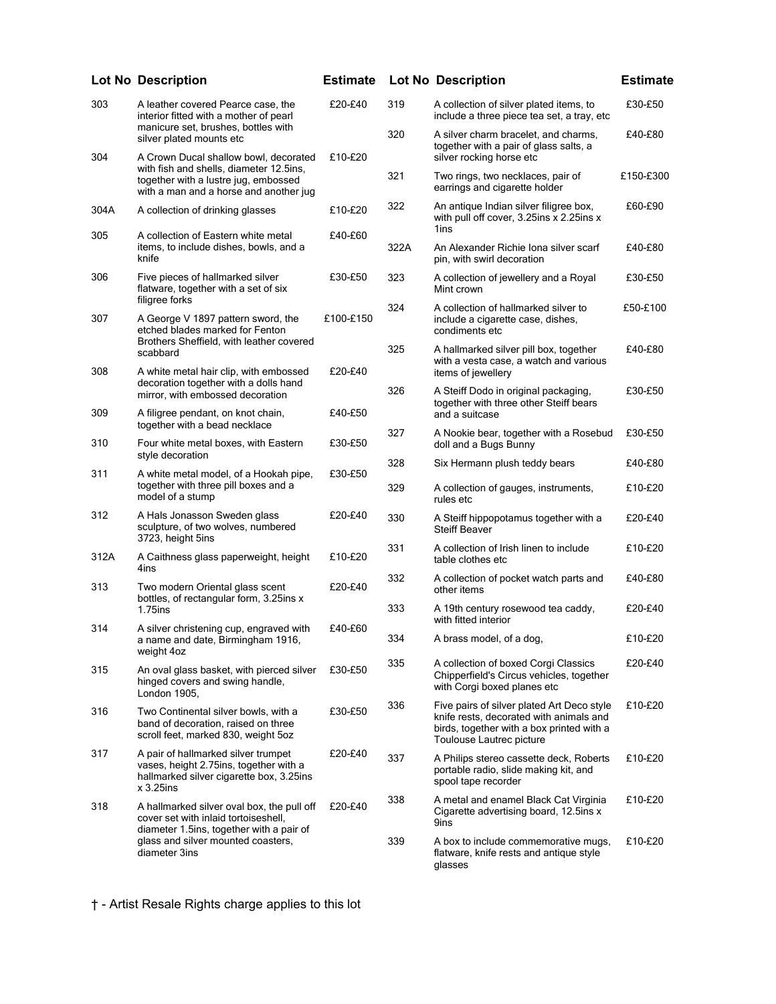|      | <b>Lot No Description</b>                                                                                                                                          | <b>Estimate</b> |            | <b>Lot No Description</b>                                                                                                                                      | <b>Estimate</b>    |
|------|--------------------------------------------------------------------------------------------------------------------------------------------------------------------|-----------------|------------|----------------------------------------------------------------------------------------------------------------------------------------------------------------|--------------------|
| 303  | A leather covered Pearce case, the<br>interior fitted with a mother of pearl                                                                                       | £20-£40         | 319        | A collection of silver plated items, to<br>include a three piece tea set, a tray, etc                                                                          | £30-£50            |
|      | manicure set, brushes, bottles with<br>silver plated mounts etc                                                                                                    |                 | 320        | A silver charm bracelet, and charms,<br>together with a pair of glass salts, a                                                                                 | £40-£80            |
| 304  | A Crown Ducal shallow bowl, decorated<br>with fish and shells, diameter 12.5ins,<br>together with a lustre jug, embossed<br>with a man and a horse and another jug | £10-£20         | 321        | silver rocking horse etc<br>Two rings, two necklaces, pair of<br>earrings and cigarette holder                                                                 | £150-£300          |
| 304A | A collection of drinking glasses                                                                                                                                   | £10-£20         | 322        | An antique Indian silver filigree box,<br>with pull off cover, 3.25 ins x 2.25 ins x                                                                           | £60-£90            |
| 305  | A collection of Eastern white metal<br>items, to include dishes, bowls, and a<br>knife                                                                             | £40-£60         | 322A       | 1ins<br>An Alexander Richie Iona silver scarf<br>pin, with swirl decoration                                                                                    | £40-£80            |
| 306  | Five pieces of hallmarked silver<br>flatware, together with a set of six                                                                                           | £30-£50         | 323        | A collection of jewellery and a Royal<br>Mint crown                                                                                                            | £30-£50            |
| 307  | filigree forks<br>A George V 1897 pattern sword, the<br>etched blades marked for Fenton                                                                            | £100-£150       | 324        | A collection of hallmarked silver to<br>include a cigarette case, dishes,<br>condiments etc                                                                    | £50-£100           |
| 308  | Brothers Sheffield, with leather covered<br>scabbard<br>A white metal hair clip, with embossed                                                                     | £20-£40         | 325        | A hallmarked silver pill box, together<br>with a vesta case, a watch and various<br>items of jewellery                                                         | £40-£80            |
|      | decoration together with a dolls hand<br>mirror, with embossed decoration                                                                                          |                 | 326        | A Steiff Dodo in original packaging,<br>together with three other Steiff bears                                                                                 | £30-£50            |
| 309  | A filigree pendant, on knot chain,<br>together with a bead necklace                                                                                                | £40-£50         | 327        | and a suitcase<br>A Nookie bear, together with a Rosebud                                                                                                       | £30-£50            |
| 310  | Four white metal boxes, with Eastern<br>style decoration                                                                                                           | £30-£50         |            | doll and a Bugs Bunny                                                                                                                                          |                    |
| 311  | A white metal model, of a Hookah pipe,<br>together with three pill boxes and a<br>model of a stump                                                                 | £30-£50         | 328<br>329 | Six Hermann plush teddy bears<br>A collection of gauges, instruments,                                                                                          | £40-£80<br>£10-£20 |
| 312  | A Hals Jonasson Sweden glass<br>sculpture, of two wolves, numbered                                                                                                 | £20-£40         | 330        | rules etc<br>A Steiff hippopotamus together with a<br><b>Steiff Beaver</b>                                                                                     | £20-£40            |
| 312A | 3723, height 5ins<br>A Caithness glass paperweight, height                                                                                                         | £10-£20         | 331        | A collection of Irish linen to include<br>table clothes etc                                                                                                    | £10-£20            |
| 313  | 4ins<br>Two modern Oriental glass scent<br>bottles, of rectangular form, 3.25ins x                                                                                 | £20-£40         | 332        | A collection of pocket watch parts and<br>other items                                                                                                          | £40-£80            |
|      | 1.75ins                                                                                                                                                            |                 | 333        | A 19th century rosewood tea caddy,<br>with fitted interior                                                                                                     | £20-£40            |
| 314  | A silver christening cup, engraved with<br>a name and date, Birmingham 1916,<br>weight 4oz                                                                         | £40-£60         | 334        | A brass model, of a dog,                                                                                                                                       | £10-£20            |
| 315  | An oval glass basket, with pierced silver<br>hinged covers and swing handle,<br>London 1905,                                                                       | £30-£50         | 335        | A collection of boxed Corgi Classics<br>Chipperfield's Circus vehicles, together<br>with Corgi boxed planes etc                                                | £20-£40            |
| 316  | Two Continental silver bowls, with a<br>band of decoration, raised on three<br>scroll feet, marked 830, weight 5oz                                                 | £30-£50         | 336        | Five pairs of silver plated Art Deco style<br>knife rests, decorated with animals and<br>birds, together with a box printed with a<br>Toulouse Lautrec picture | £10-£20            |
| 317  | A pair of hallmarked silver trumpet<br>vases, height 2.75ins, together with a<br>hallmarked silver cigarette box, 3.25ins<br>$x$ 3.25ins                           | £20-£40         | 337        | A Philips stereo cassette deck, Roberts<br>portable radio, slide making kit, and<br>spool tape recorder                                                        | £10-£20            |
| 318  | A hallmarked silver oval box, the pull off<br>cover set with inlaid tortoiseshell,                                                                                 | £20-£40         | 338        | A metal and enamel Black Cat Virginia<br>Cigarette advertising board, 12.5ins x<br>9ins                                                                        | £10-£20            |
|      | diameter 1.5 ins, together with a pair of<br>glass and silver mounted coasters,<br>diameter 3ins                                                                   |                 | 339        | A box to include commemorative mugs,<br>flatware, knife rests and antique style<br>glasses                                                                     | £10-£20            |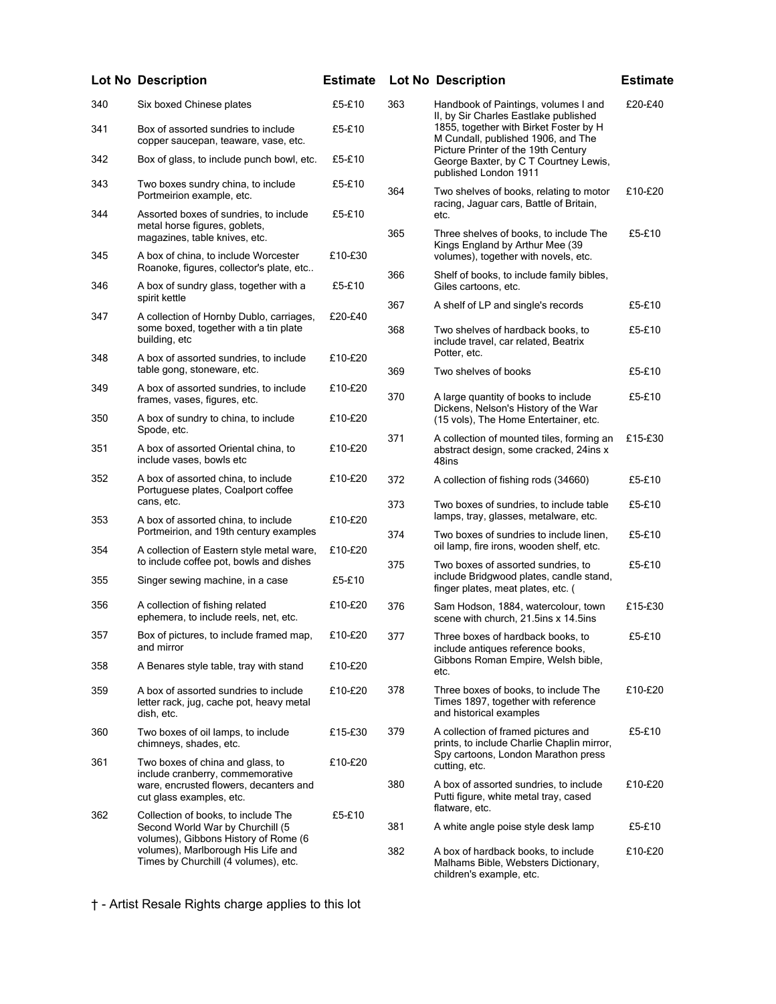| 340 | Six boxed Chinese plates                                                                                 | £5-£10  |
|-----|----------------------------------------------------------------------------------------------------------|---------|
| 341 | Box of assorted sundries to include<br>copper saucepan, teaware, vase, etc.                              | £5-£10  |
| 342 | Box of glass, to include punch bowl, etc.                                                                | £5-£10  |
| 343 | Two boxes sundry china, to include<br>Portmeirion example, etc.                                          | £5-£10  |
| 344 | Assorted boxes of sundries, to include<br>metal horse figures, goblets,<br>magazines, table knives, etc. | £5-£10  |
| 345 | A box of china, to include Worcester<br>Roanoke, figures, collector's plate, etc                         | £10-£30 |
| 346 | A box of sundry glass, together with a<br>spirit kettle                                                  | £5-£10  |
| 347 | A collection of Hornby Dublo, carriages,<br>some boxed, together with a tin plate<br>building, etc       | £20-£40 |
| 348 | A box of assorted sundries, to include<br>table gong, stoneware, etc.                                    | £10-£20 |
| 349 | A box of assorted sundries, to include<br>frames, vases, figures, etc.                                   | £10-£20 |
| 350 | A box of sundry to china, to include<br>Spode, etc.                                                      | £10-£20 |
| 351 | A box of assorted Oriental china, to<br>include vases, bowls etc                                         | £10-£20 |
| 352 | A box of assorted china, to include<br>Portuguese plates, Coalport coffee<br>cans, etc.                  | £10-£20 |
| 353 | A box of assorted china, to include<br>Portmeirion, and 19th century examples                            | £10-£20 |
| 354 | A collection of Eastern style metal ware,<br>to include coffee pot, bowls and dishes                     | £10-£20 |
| 355 | Singer sewing machine, in a case                                                                         | £5-£10  |
| 356 | A collection of fishing related<br>ephemera, to include reels, net, etc.                                 | £10-£20 |
| 357 | Box of pictures, to include framed map,<br>and mirror                                                    | £10-£20 |
| 358 | A Benares style table, tray with stand                                                                   | £10-£20 |
| 359 | A box of assorted sundries to include<br>letter rack, jug, cache pot, heavy metal<br>dish, etc.          | £10-£20 |
| 360 | Two boxes of oil lamps, to include<br>chimneys, shades, etc.                                             | £15-£30 |

|     | <b>Lot No Description</b>                                                                                | <b>Estimate</b> |     | <b>Lot No Description</b>                                                                                           | <b>Estimate</b> |
|-----|----------------------------------------------------------------------------------------------------------|-----------------|-----|---------------------------------------------------------------------------------------------------------------------|-----------------|
| 340 | Six boxed Chinese plates                                                                                 | £5-£10          | 363 | Handbook of Paintings, volumes I and<br>II, by Sir Charles Eastlake published                                       | £20-£40         |
| 341 | Box of assorted sundries to include<br>copper saucepan, teaware, vase, etc.                              | £5-£10          |     | 1855, together with Birket Foster by H<br>M Cundall, published 1906, and The<br>Picture Printer of the 19th Century |                 |
| 342 | Box of glass, to include punch bowl, etc.                                                                | £5-£10          |     | George Baxter, by C T Courtney Lewis,<br>published London 1911                                                      |                 |
| 343 | Two boxes sundry china, to include<br>Portmeirion example, etc.                                          | £5-£10          | 364 | Two shelves of books, relating to motor<br>racing, Jaguar cars, Battle of Britain,                                  | £10-£20         |
| 344 | Assorted boxes of sundries, to include<br>metal horse figures, goblets,<br>magazines, table knives, etc. | £5-£10          | 365 | etc.<br>Three shelves of books, to include The                                                                      | £5-£10          |
| 345 | A box of china, to include Worcester<br>Roanoke, figures, collector's plate, etc                         | £10-£30         |     | Kings England by Arthur Mee (39<br>volumes), together with novels, etc.                                             |                 |
| 346 | A box of sundry glass, together with a<br>spirit kettle                                                  | £5-£10          | 366 | Shelf of books, to include family bibles,<br>Giles cartoons, etc.                                                   |                 |
| 347 | A collection of Hornby Dublo, carriages,                                                                 | £20-£40         | 367 | A shelf of LP and single's records                                                                                  | £5-£10          |
|     | some boxed, together with a tin plate<br>building, etc                                                   |                 | 368 | Two shelves of hardback books, to<br>include travel, car related, Beatrix                                           | £5-£10          |
| 348 | A box of assorted sundries, to include                                                                   | £10-£20         |     | Potter, etc.                                                                                                        |                 |
| 349 | table gong, stoneware, etc.<br>A box of assorted sundries, to include                                    | £10-£20         | 369 | Two shelves of books                                                                                                | £5-£10          |
|     | frames, vases, figures, etc.                                                                             |                 | 370 | A large quantity of books to include<br>Dickens, Nelson's History of the War                                        | £5-£10          |
| 350 | A box of sundry to china, to include<br>Spode, etc.                                                      | £10-£20         |     | (15 vols), The Home Entertainer, etc.                                                                               |                 |
| 351 | A box of assorted Oriental china, to<br>include vases, bowls etc                                         | £10-£20         | 371 | A collection of mounted tiles, forming an<br>abstract design, some cracked, 24ins x<br>48ins                        | £15-£30         |
| 352 | A box of assorted china, to include<br>Portuguese plates, Coalport coffee                                | £10-£20         | 372 | A collection of fishing rods (34660)                                                                                | £5-£10          |
| 353 | cans, etc.<br>A box of assorted china, to include                                                        | £10-£20         | 373 | Two boxes of sundries, to include table<br>lamps, tray, glasses, metalware, etc.                                    | £5-£10          |
| 354 | Portmeirion, and 19th century examples<br>A collection of Eastern style metal ware,                      | £10-£20         | 374 | Two boxes of sundries to include linen,<br>oil lamp, fire irons, wooden shelf, etc.                                 | £5-£10          |
| 355 | to include coffee pot, bowls and dishes<br>Singer sewing machine, in a case                              | £5-£10          | 375 | Two boxes of assorted sundries, to<br>include Bridgwood plates, candle stand,                                       | £5-£10          |
|     |                                                                                                          |                 |     | finger plates, meat plates, etc. (                                                                                  |                 |
| 356 | A collection of fishing related<br>ephemera, to include reels, net, etc.                                 | £10-£20         | 376 | Sam Hodson, 1884, watercolour, town<br>scene with church, 21.5ins x 14.5ins                                         | £15-£30         |
| 357 | Box of pictures, to include framed map,<br>and mirror                                                    | £10-£20         | 377 | Three boxes of hardback books, to<br>include antiques reference books,                                              | £5-£10          |
| 358 | A Benares style table, tray with stand                                                                   | £10-£20         |     | Gibbons Roman Empire, Welsh bible,<br>etc.                                                                          |                 |
| 359 | A box of assorted sundries to include<br>letter rack, jug, cache pot, heavy metal<br>dish, etc.          | £10-£20         | 378 | Three boxes of books, to include The<br>Times 1897, together with reference<br>and historical examples              | £10-£20         |
| 360 | Two boxes of oil lamps, to include<br>chimneys, shades, etc.                                             | £15-£30         | 379 | A collection of framed pictures and<br>prints, to include Charlie Chaplin mirror,                                   | £5-£10          |
| 361 | Two boxes of china and glass, to<br>include cranberry, commemorative                                     | £10-£20         |     | Spy cartoons, London Marathon press<br>cutting, etc.                                                                |                 |
|     | ware, encrusted flowers, decanters and<br>cut glass examples, etc.                                       |                 | 380 | A box of assorted sundries, to include<br>Putti figure, white metal tray, cased                                     | £10-£20         |
| 200 |                                                                                                          | OF OAC          |     | flatware, etc.                                                                                                      |                 |

381 A white angle poise style desk lamp £5-£10

382 A box of hardback books, to include Malhams Bible, Websters Dictionary, children's example, etc. £10-£20

† - Artist Resale Rights charge applies to this lot

362 Collection of books, to include The

Second World War by Churchill (5 volumes), Gibbons History of Rome (6 volumes), Marlborough His Life and Times by Churchill (4 volumes), etc.

£5-£10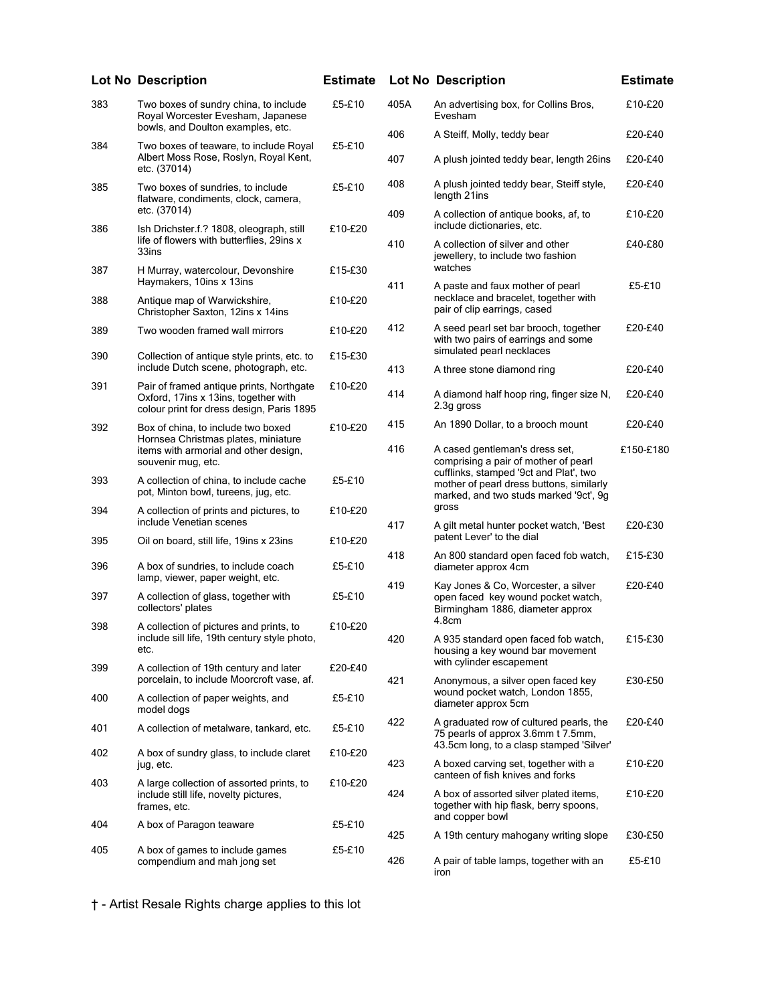|     | <b>Lot No Description</b>                                                                                                                | <b>Estimate</b> |      | <b>Lot No Description</b>                                                                                                 | <b>Estimate</b> |
|-----|------------------------------------------------------------------------------------------------------------------------------------------|-----------------|------|---------------------------------------------------------------------------------------------------------------------------|-----------------|
| 383 | Two boxes of sundry china, to include<br>Royal Worcester Evesham, Japanese                                                               | £5-£10          | 405A | An advertising box, for Collins Bros,<br>Evesham                                                                          | £10-£20         |
| 384 | bowls, and Doulton examples, etc.<br>Two boxes of teaware, to include Royal                                                              | £5-£10          | 406  | A Steiff, Molly, teddy bear                                                                                               | £20-£40         |
|     | Albert Moss Rose, Roslyn, Royal Kent,<br>etc. (37014)                                                                                    |                 | 407  | A plush jointed teddy bear, length 26ins                                                                                  | £20-£40         |
| 385 | Two boxes of sundries, to include<br>flatware, condiments, clock, camera,                                                                | £5-£10          | 408  | A plush jointed teddy bear, Steiff style,<br>length 21ins                                                                 | £20-£40         |
| 386 | etc. (37014)<br>Ish Drichster.f.? 1808, oleograph, still                                                                                 | £10-£20         | 409  | A collection of antique books, af, to<br>include dictionaries, etc.                                                       | £10-£20         |
|     | life of flowers with butterflies, 29ins x<br>33ins                                                                                       |                 | 410  | A collection of silver and other<br>jewellery, to include two fashion<br>watches                                          | £40-£80         |
| 387 | H Murray, watercolour, Devonshire<br>Haymakers, 10ins x 13ins                                                                            | £15-£30         | 411  | A paste and faux mother of pearl                                                                                          | £5-£10          |
| 388 | Antique map of Warwickshire,<br>Christopher Saxton, 12ins x 14ins                                                                        | £10-£20         |      | necklace and bracelet, together with<br>pair of clip earrings, cased                                                      |                 |
| 389 | Two wooden framed wall mirrors                                                                                                           | £10-£20         | 412  | A seed pearl set bar brooch, together<br>with two pairs of earrings and some<br>simulated pearl necklaces                 | £20-£40         |
| 390 | Collection of antique style prints, etc. to<br>include Dutch scene, photograph, etc.                                                     | £15-£30         | 413  | A three stone diamond ring                                                                                                | £20-£40         |
| 391 | Pair of framed antique prints, Northgate<br>Oxford, 17ins x 13ins, together with<br>colour print for dress design, Paris 1895            | £10-£20         | 414  | A diamond half hoop ring, finger size N,<br>2.3g gross                                                                    | £20-£40         |
| 392 | Box of china, to include two boxed<br>Hornsea Christmas plates, miniature<br>items with armorial and other design,<br>souvenir mug, etc. | £10-£20         | 415  | An 1890 Dollar, to a brooch mount                                                                                         | £20-£40         |
|     |                                                                                                                                          |                 | 416  | A cased gentleman's dress set,<br>comprising a pair of mother of pearl<br>cufflinks, stamped '9ct and Plat', two          | £150-£180       |
| 393 | A collection of china, to include cache<br>pot, Minton bowl, tureens, jug, etc.                                                          | £5-£10          |      | mother of pearl dress buttons, similarly<br>marked, and two studs marked '9ct', 9g                                        |                 |
| 394 | A collection of prints and pictures, to<br>include Venetian scenes                                                                       | £10-£20         | 417  | gross<br>A gilt metal hunter pocket watch, 'Best                                                                          | £20-£30         |
| 395 | Oil on board, still life, 19ins x 23ins                                                                                                  | £10-£20         | 418  | patent Lever' to the dial<br>An 800 standard open faced fob watch,                                                        | £15-£30         |
| 396 | A box of sundries, to include coach<br>lamp, viewer, paper weight, etc.                                                                  | £5-£10          | 419  | diameter approx 4cm<br>Kay Jones & Co, Worcester, a silver                                                                | £20-£40         |
| 397 | A collection of glass, together with<br>collectors' plates                                                                               | £5-£10          |      | open faced key wound pocket watch,<br>Birmingham 1886, diameter approx<br>4.8cm                                           |                 |
| 398 | A collection of pictures and prints, to<br>include sill life, 19th century style photo,<br>etc.                                          | £10-£20         | 420  | A 935 standard open faced fob watch,<br>housing a key wound bar movement                                                  | £15-£30         |
| 399 | A collection of 19th century and later<br>porcelain, to include Moorcroft vase, af.                                                      | £20-£40         | 421  | with cylinder escapement<br>Anonymous, a silver open faced key                                                            | £30-£50         |
| 400 | A collection of paper weights, and<br>model dogs                                                                                         | £5-£10          |      | wound pocket watch, London 1855,<br>diameter approx 5cm                                                                   |                 |
| 401 | A collection of metalware, tankard, etc.                                                                                                 | £5-£10          | 422  | A graduated row of cultured pearls, the<br>75 pearls of approx 3.6mm t 7.5mm,<br>43.5cm long, to a clasp stamped 'Silver' | £20-£40         |
| 402 | A box of sundry glass, to include claret<br>jug, etc.                                                                                    | £10-£20         | 423  | A boxed carving set, together with a<br>canteen of fish knives and forks                                                  | £10-£20         |
| 403 | A large collection of assorted prints, to<br>include still life, novelty pictures,<br>frames, etc.<br>A box of Paragon teaware           | £10-£20         | 424  | A box of assorted silver plated items,<br>together with hip flask, berry spoons,                                          | £10-£20         |
| 404 |                                                                                                                                          | £5-£10          |      | and copper bowl                                                                                                           |                 |
|     |                                                                                                                                          |                 | 425  | A 19th century mahogany writing slope                                                                                     | £30-£50         |
| 405 | A box of games to include games<br>compendium and mah jong set                                                                           | £5-£10          | 426  | A pair of table lamps, together with an<br>iron                                                                           | £5-£10          |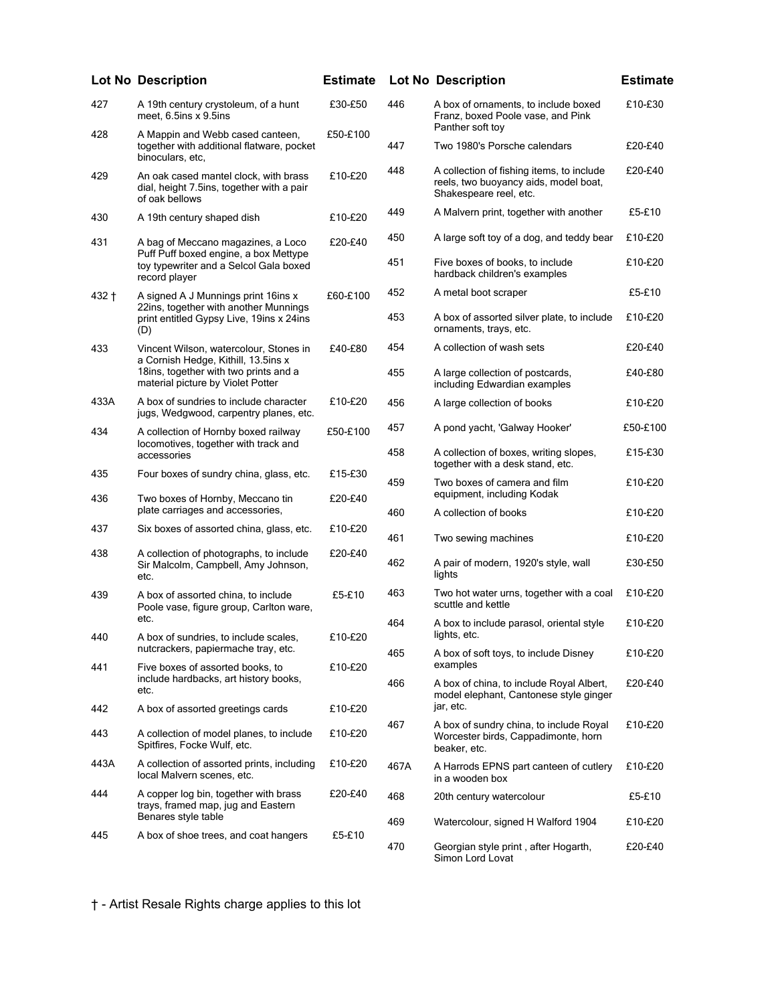|         | <b>Lot No Description</b>                                                                                                                                   | <b>Estimate</b> |      | <b>Lot No Description</b>                                                                                    | <b>Estimate</b> |
|---------|-------------------------------------------------------------------------------------------------------------------------------------------------------------|-----------------|------|--------------------------------------------------------------------------------------------------------------|-----------------|
| 427     | A 19th century crystoleum, of a hunt<br>meet, 6.5ins x 9.5ins                                                                                               | £30-£50         | 446  | A box of ornaments, to include boxed<br>Franz, boxed Poole vase, and Pink<br>Panther soft toy                | £10-£30         |
| 428     | A Mappin and Webb cased canteen,<br>together with additional flatware, pocket<br>binoculars, etc.                                                           | £50-£100        | 447  | Two 1980's Porsche calendars                                                                                 | £20-£40         |
| 429     | An oak cased mantel clock, with brass<br>dial, height 7.5ins, together with a pair<br>of oak bellows                                                        | £10-£20         | 448  | A collection of fishing items, to include<br>reels, two buoyancy aids, model boat,<br>Shakespeare reel, etc. | £20-£40         |
| 430     | A 19th century shaped dish                                                                                                                                  | £10-£20         | 449  | A Malvern print, together with another                                                                       | £5-£10          |
| 431     | A bag of Meccano magazines, a Loco<br>Puff Puff boxed engine, a box Mettype<br>toy typewriter and a Selcol Gala boxed<br>record player                      | £20-£40         | 450  | A large soft toy of a dog, and teddy bear                                                                    | £10-£20         |
|         |                                                                                                                                                             |                 | 451  | Five boxes of books, to include<br>hardback children's examples                                              | £10-£20         |
| $432 +$ | A signed A J Munnings print 16ins x<br>22ins, together with another Munnings<br>print entitled Gypsy Live, 19ins x 24ins<br>(D)                             | £60-£100        | 452  | A metal boot scraper                                                                                         | £5-£10          |
|         |                                                                                                                                                             |                 | 453  | A box of assorted silver plate, to include<br>ornaments, trays, etc.                                         | £10-£20         |
| 433     | Vincent Wilson, watercolour, Stones in<br>a Cornish Hedge, Kithill, 13.5ins x<br>18ins, together with two prints and a<br>material picture by Violet Potter | £40-£80         | 454  | A collection of wash sets                                                                                    | £20-£40         |
|         |                                                                                                                                                             |                 | 455  | A large collection of postcards,<br>including Edwardian examples                                             | £40-£80         |
| 433A    | A box of sundries to include character<br>jugs, Wedgwood, carpentry planes, etc.                                                                            | £10-£20         | 456  | A large collection of books                                                                                  | £10-£20         |
| 434     | A collection of Hornby boxed railway<br>locomotives, together with track and<br>accessories                                                                 | £50-£100        | 457  | A pond yacht, 'Galway Hooker'                                                                                | £50-£100        |
|         |                                                                                                                                                             |                 | 458  | A collection of boxes, writing slopes,<br>together with a desk stand, etc.                                   | £15-£30         |
| 435     | Four boxes of sundry china, glass, etc.                                                                                                                     | £15-£30         | 459  | Two boxes of camera and film                                                                                 | £10-£20         |
| 436     | Two boxes of Hornby, Meccano tin<br>plate carriages and accessories,                                                                                        | £20-£40         | 460  | equipment, including Kodak<br>A collection of books                                                          | £10-£20         |
| 437     | Six boxes of assorted china, glass, etc.                                                                                                                    | £10-£20         | 461  | Two sewing machines                                                                                          | £10-£20         |
| 438     | A collection of photographs, to include<br>Sir Malcolm, Campbell, Amy Johnson,<br>etc.                                                                      | £20-£40         | 462  | A pair of modern, 1920's style, wall<br>lights                                                               | £30-£50         |
| 439     | A box of assorted china, to include<br>Poole vase, figure group, Carlton ware,                                                                              | £5-£10          | 463  | Two hot water urns, together with a coal<br>scuttle and kettle                                               | £10-£20         |
| 440     | etc.<br>A box of sundries, to include scales,                                                                                                               | £10-£20         | 464  | A box to include parasol, oriental style<br>lights, etc.                                                     | £10-£20         |
|         | nutcrackers, papiermache tray, etc.                                                                                                                         |                 | 465  | A box of soft toys, to include Disney<br>examples                                                            | £10-£20         |
| 441     | Five boxes of assorted books, to<br>include hardbacks, art history books,<br>etc.                                                                           | £10-£20         | 466  | A box of china, to include Royal Albert,<br>model elephant, Cantonese style ginger                           | £20-£40         |
| 442     | A box of assorted greetings cards                                                                                                                           | £10-£20         |      | jar, etc.                                                                                                    |                 |
| 443     | A collection of model planes, to include<br>Spitfires, Focke Wulf, etc.                                                                                     | £10-£20         | 467  | A box of sundry china, to include Royal<br>Worcester birds, Cappadimonte, horn<br>beaker, etc.               | £10-£20         |
| 443A    | A collection of assorted prints, including<br>local Malvern scenes, etc.                                                                                    | £10-£20         | 467A | A Harrods EPNS part canteen of cutlery<br>in a wooden box                                                    | £10-£20         |
| 444     | A copper log bin, together with brass<br>trays, framed map, jug and Eastern<br>Benares style table<br>A box of shoe trees, and coat hangers                 | £20-£40         | 468  | 20th century watercolour                                                                                     | £5-£10          |
| 445     |                                                                                                                                                             | £5-£10          | 469  | Watercolour, signed H Walford 1904                                                                           | £10-£20         |
|         |                                                                                                                                                             |                 | 470  | Georgian style print, after Hogarth,                                                                         | £20-£40         |

|      | <b>Lot No Description</b>                                                                                    | <b>Estimate</b> |
|------|--------------------------------------------------------------------------------------------------------------|-----------------|
| 446  | A box of ornaments, to include boxed<br>Franz, boxed Poole vase, and Pink<br>Panther soft toy                | £10-£30         |
| 447  | Two 1980's Porsche calendars                                                                                 | £20-£40         |
| 448  | A collection of fishing items, to include<br>reels, two buoyancy aids, model boat,<br>Shakespeare reel, etc. | £20-£40         |
| 449  | A Malvern print, together with another                                                                       | £5-£10          |
| 450  | A large soft toy of a dog, and teddy bear                                                                    | £10-£20         |
| 451  | Five boxes of books, to include<br>hardback children's examples                                              | £10-£20         |
| 452  | A metal boot scraper                                                                                         | £5-£10          |
| 453  | A box of assorted silver plate, to include<br>ornaments, trays, etc.                                         | £10-£20         |
| 454  | A collection of wash sets                                                                                    | £20-£40         |
| 455  | A large collection of postcards,<br>including Edwardian examples                                             | £40-£80         |
| 456  | A large collection of books                                                                                  | £10-£20         |
| 457  | A pond yacht, 'Galway Hooker'                                                                                | £50-£100        |
| 458  | A collection of boxes, writing slopes,<br>together with a desk stand, etc.                                   | £15-£30         |
| 459  | Two boxes of camera and film<br>equipment, including Kodak                                                   | £10-£20         |
| 460  | A collection of books                                                                                        | £10-£20         |
| 461  | Two sewing machines                                                                                          | £10-£20         |
| 462  | A pair of modern, 1920's style, wall<br>lights                                                               | £30-£50         |
| 463  | Two hot water urns, together with a coal<br>scuttle and kettle                                               | £10-£20         |
| 464  | A box to include parasol, oriental style<br>lights, etc                                                      | £10-£20         |
| 465  | A box of soft toys, to include Disney<br>examples                                                            | £10-£20         |
| 466  | A box of china, to include Royal Albert,<br>model elephant, Cantonese style ginger<br>jar, etc.              | £20-£40         |
| 467  | A box of sundry china, to include Royal<br>Worcester birds, Cappadimonte, horn<br>beaker, etc.               | £10-£20         |
| 467A | A Harrods EPNS part canteen of cutlery<br>in a wooden box                                                    | £10-£20         |
| 468  | 20th century watercolour                                                                                     | £5-£10          |
| 469  | Watercolour, signed H Walford 1904                                                                           | £10-£20         |
| 470  | Georgian style print, after Hogarth,<br>Simon Lord Lovat                                                     | £20-£40         |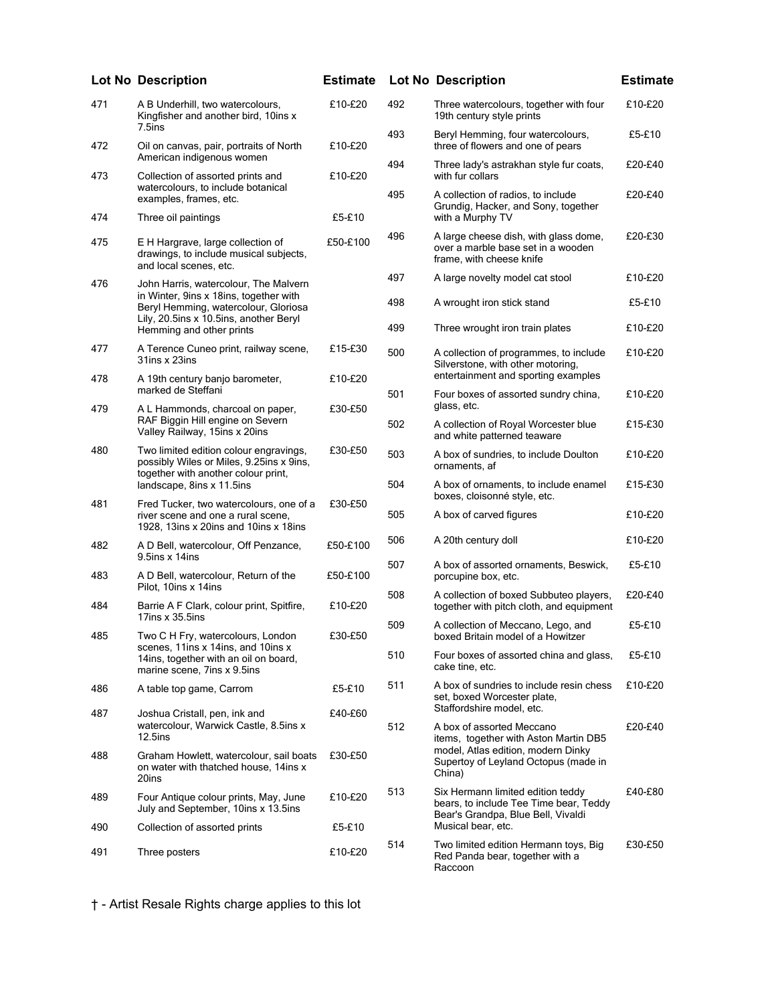|     | <b>Lot No Description</b>                                                                                                                                                                     | <b>Estimate</b> |                                                                                                                          | <b>Lot No Description</b>                                                                                          | <b>Estimate</b> |
|-----|-----------------------------------------------------------------------------------------------------------------------------------------------------------------------------------------------|-----------------|--------------------------------------------------------------------------------------------------------------------------|--------------------------------------------------------------------------------------------------------------------|-----------------|
| 471 | A B Underhill, two watercolours,<br>Kingfisher and another bird, 10ins x<br>7.5ins                                                                                                            | £10-£20         | 492                                                                                                                      | Three watercolours, together with four<br>19th century style prints                                                | £10-£20         |
| 472 | Oil on canvas, pair, portraits of North                                                                                                                                                       | £10-£20         | 493                                                                                                                      | Beryl Hemming, four watercolours,<br>three of flowers and one of pears                                             | £5-£10          |
| 473 | American indigenous women<br>Collection of assorted prints and                                                                                                                                | £10-£20         | 494                                                                                                                      | Three lady's astrakhan style fur coats,<br>with fur collars                                                        | £20-£40         |
| 474 | watercolours, to include botanical<br>examples, frames, etc.<br>Three oil paintings                                                                                                           | £5-£10          | 495                                                                                                                      | A collection of radios, to include<br>Grundig, Hacker, and Sony, together<br>with a Murphy TV                      | £20-£40         |
| 475 | E H Hargrave, large collection of<br>drawings, to include musical subjects,<br>and local scenes, etc.                                                                                         | £50-£100        | 496                                                                                                                      | A large cheese dish, with glass dome,<br>over a marble base set in a wooden<br>frame, with cheese knife            | £20-£30         |
| 476 | John Harris, watercolour, The Malvern<br>in Winter, 9ins x 18ins, together with<br>Beryl Hemming, watercolour, Gloriosa<br>Lily, 20.5ins x 10.5ins, another Beryl<br>Hemming and other prints |                 | 497                                                                                                                      | A large novelty model cat stool                                                                                    | £10-£20         |
|     |                                                                                                                                                                                               |                 | 498                                                                                                                      | A wrought iron stick stand                                                                                         | £5-£10          |
|     |                                                                                                                                                                                               |                 | 499                                                                                                                      | Three wrought iron train plates                                                                                    | £10-£20         |
| 477 | A Terence Cuneo print, railway scene,<br>31ins x 23ins                                                                                                                                        | £15-£30         | 500                                                                                                                      | A collection of programmes, to include<br>Silverstone, with other motoring,<br>entertainment and sporting examples | £10-£20         |
| 478 | A 19th century banjo barometer,<br>marked de Steffani                                                                                                                                         | £10-£20         | 501                                                                                                                      | Four boxes of assorted sundry china,                                                                               | £10-£20         |
| 479 | A L Hammonds, charcoal on paper,                                                                                                                                                              | £30-£50         |                                                                                                                          | glass, etc.                                                                                                        |                 |
|     | RAF Biggin Hill engine on Severn<br>Valley Railway, 15ins x 20ins                                                                                                                             |                 | 502                                                                                                                      | A collection of Royal Worcester blue<br>and white patterned teaware                                                | £15-£30         |
| 480 | Two limited edition colour engravings,<br>possibly Wiles or Miles, 9.25ins x 9ins,<br>together with another colour print,                                                                     | £30-£50         | 503                                                                                                                      | A box of sundries, to include Doulton<br>ornaments, af                                                             | £10-£20         |
|     | landscape, 8ins x 11.5ins                                                                                                                                                                     |                 | 504                                                                                                                      | A box of ornaments, to include enamel<br>boxes, cloisonné style, etc.                                              | £15-£30         |
| 481 | Fred Tucker, two watercolours, one of a<br>river scene and one a rural scene,<br>1928, 13ins x 20ins and 10ins x 18ins                                                                        | £30-£50         | 505                                                                                                                      | A box of carved figures                                                                                            | £10-£20         |
| 482 | A D Bell, watercolour, Off Penzance,<br>9.5ins x 14ins                                                                                                                                        | £50-£100        | 506                                                                                                                      | A 20th century doll                                                                                                | £10-£20         |
| 483 | A D Bell, watercolour, Return of the<br>Pilot, 10ins x 14ins                                                                                                                                  | £50-£100        | 507                                                                                                                      | A box of assorted ornaments, Beswick,<br>porcupine box, etc.                                                       | £5-£10          |
| 484 | Barrie A F Clark, colour print, Spitfire,<br>17ins $x$ 35.5ins                                                                                                                                | £10-£20         | 508                                                                                                                      | A collection of boxed Subbuteo players,<br>together with pitch cloth, and equipment                                | £20-£40         |
| 485 | Two C H Fry, watercolours, London                                                                                                                                                             | £30-£50         | 509                                                                                                                      | A collection of Meccano, Lego, and<br>boxed Britain model of a Howitzer                                            | £5-£10          |
|     | scenes, 11ins x 14ins, and 10ins x<br>14ins, together with an oil on board,<br>marine scene, 7ins x 9.5ins                                                                                    |                 | 510                                                                                                                      | Four boxes of assorted china and glass,<br>cake tine, etc.                                                         | £5-£10          |
| 486 | A table top game, Carrom                                                                                                                                                                      | £5-£10          | 511                                                                                                                      | A box of sundries to include resin chess<br>set, boxed Worcester plate,                                            | £10-£20         |
| 487 | Joshua Cristall, pen, ink and<br>watercolour, Warwick Castle, 8.5ins x<br>$12.5$ ins                                                                                                          | £40-£60         |                                                                                                                          | Staffordshire model, etc.                                                                                          |                 |
|     |                                                                                                                                                                                               |                 | 512                                                                                                                      | A box of assorted Meccano<br>items, together with Aston Martin DB5<br>model, Atlas edition, modern Dinky           | £20-£40         |
| 488 | Graham Howlett, watercolour, sail boats<br>on water with thatched house, 14ins x<br>20ins                                                                                                     | £30-£50         | Supertoy of Leyland Octopus (made in<br>China)                                                                           |                                                                                                                    |                 |
| 489 | Four Antique colour prints, May, June<br>July and September, 10ins x 13.5ins                                                                                                                  | £10-£20         | 513<br>Six Hermann limited edition teddy<br>bears, to include Tee Time bear, Teddy<br>Bear's Grandpa, Blue Bell, Vivaldi |                                                                                                                    | £40-£80         |
| 490 | Collection of assorted prints                                                                                                                                                                 | £5-£10          |                                                                                                                          | Musical bear, etc.                                                                                                 |                 |
| 491 | Three posters                                                                                                                                                                                 | £10-£20         | 514                                                                                                                      | Two limited edition Hermann toys, Big<br>Red Panda bear, together with a<br>Raccoon                                | £30-£50         |

|     | <b>Lot No Description</b>                                                                                                                                  | <b>Estimate</b> |
|-----|------------------------------------------------------------------------------------------------------------------------------------------------------------|-----------------|
| 492 | Three watercolours, together with four<br>19th century style prints                                                                                        | £10-£20         |
| 493 | Beryl Hemming, four watercolours,<br>three of flowers and one of pears                                                                                     | £5-£10          |
| 494 | Three lady's astrakhan style fur coats,<br>with fur collars                                                                                                | £20-£40         |
| 495 | A collection of radios, to include<br>Grundig, Hacker, and Sony, together<br>with a Murphy TV                                                              | £20-£40         |
| 496 | A large cheese dish, with glass dome,<br>over a marble base set in a wooden<br>frame, with cheese knife                                                    | £20-£30         |
| 497 | A large novelty model cat stool                                                                                                                            | £10-£20         |
| 498 | A wrought iron stick stand                                                                                                                                 | £5-£10          |
| 499 | Three wrought iron train plates                                                                                                                            | £10-£20         |
| 500 | A collection of programmes, to include<br>Silverstone, with other motoring,<br>entertainment and sporting examples                                         | £10-£20         |
| 501 | Four boxes of assorted sundry china,<br>glass, etc.                                                                                                        | £10-£20         |
| 502 | A collection of Royal Worcester blue<br>and white patterned teaware                                                                                        | £15-£30         |
| 503 | A box of sundries, to include Doulton<br>ornaments, af                                                                                                     | £10-£20         |
| 504 | A box of ornaments, to include enamel<br>boxes, cloisonné style, etc.                                                                                      | £15-£30         |
| 505 | A box of carved figures                                                                                                                                    | £10-£20         |
| 506 | A 20th century doll                                                                                                                                        | £10-£20         |
| 507 | A box of assorted ornaments, Beswick,<br>porcupine box, etc.                                                                                               | £5-£10          |
| 508 | A collection of boxed Subbuteo players,<br>together with pitch cloth, and equipment                                                                        | £20-£40         |
| 509 | A collection of Meccano, Lego, and<br>boxed Britain model of a Howitzer                                                                                    | £5-£10          |
| 510 | Four boxes of assorted china and glass,<br>cake tine, etc.                                                                                                 | £5-£10          |
| 511 | A box of sundries to include resin chess<br>set, boxed Worcester plate,<br>Staffordshire model, etc.                                                       | £10-£20         |
| 512 | A box of assorted Meccano<br>items, together with Aston Martin DB5<br>model, Atlas edition, modern Dinky<br>Supertoy of Leyland Octopus (made in<br>China) | £20-£40         |
| 513 | Six Hermann limited edition teddy<br>bears, to include Tee Time bear, Teddy<br>Bear's Grandpa, Blue Bell, Vivaldi<br>Musical bear, etc.                    | £40-£80         |
| 514 | Two limited edition Hermann toys, Big<br>Red Panda bear, together with a                                                                                   | £30-£50         |